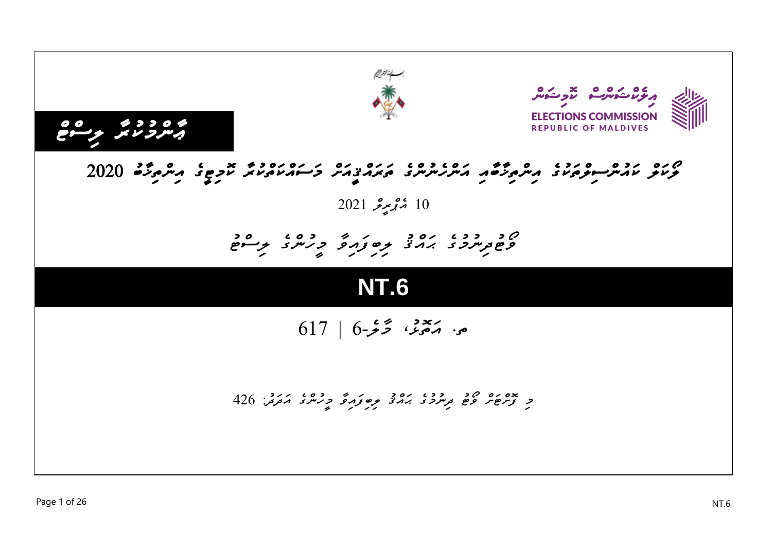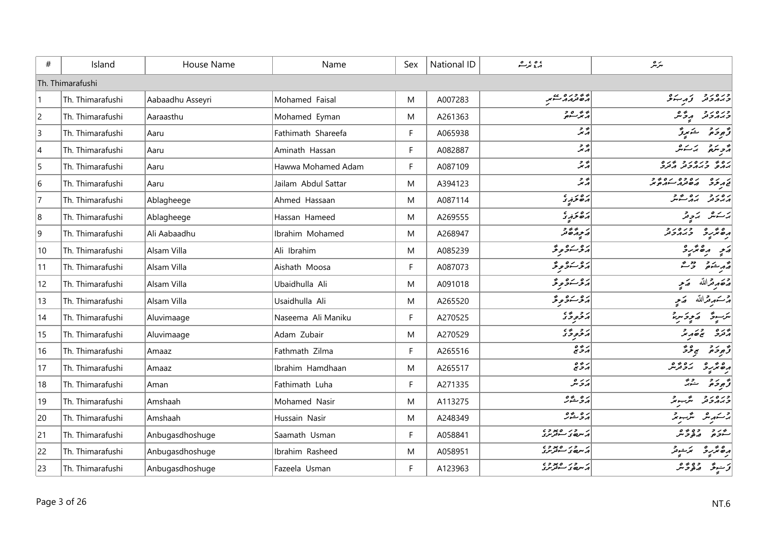| #              | Island           | House Name       | Name                | Sex       | National ID | ، ه ، ره<br>د <u>،</u> برگ            | ىئرىتر                                            |
|----------------|------------------|------------------|---------------------|-----------|-------------|---------------------------------------|---------------------------------------------------|
|                | Th. Thimarafushi |                  |                     |           |             |                                       |                                                   |
|                | Th. Thimarafushi | Aabaadhu Asseyri | Mohamed Faisal      | M         | A007283     | پر پر دره عدد<br>مرحوم مرسومبر        | ورەرو زەب و                                       |
| $\overline{c}$ | Th. Thimarafushi | Aaraasthu        | Mohamed Eyman       | M         | A261363     | ۇ ئۆر 2 ج                             | ورەرو روم                                         |
| $\overline{3}$ | Th. Thimarafushi | Aaru             | Fathimath Shareefa  | F         | A065938     | پر<br>مربر                            | توجرة شريرته                                      |
| $\overline{4}$ | Th. Thimarafushi | Aaru             | Aminath Hassan      | F         | A082887     | پڑ پڑ                                 | ۇ ئەستىھ ئەسكەنلە                                 |
| 5              | Th. Thimarafushi | Aaru             | Hawwa Mohamed Adam  | F         | A087109     | پڑ پڑ                                 | גם 4 כגם גב 4 גם<br>גבוע המבט הטב                 |
| $\,$ 6 $\,$    | Th. Thimarafushi | Aaru             | Jailam Abdul Sattar | ${\sf M}$ | A394123     | دمجر                                  | د ده ده ده ده دود                                 |
| $\overline{7}$ | Th. Thimarafushi | Ablagheege       | Ahmed Hassaan       | ${\sf M}$ | A087114     | رە ئەزە                               | رەرد رەپ                                          |
| 8              | Th. Thimarafushi | Ablagheege       | Hassan Hameed       | ${\sf M}$ | A269555     | رە ر<br>مەھمەر ئ                      | پرستمبر پر پر                                     |
| $\overline{9}$ | Th. Thimarafushi | Ali Aabaadhu     | Ibrahim Mohamed     | ${\sf M}$ | A268947     | ړ په ژه تر<br>مريخ مر                 | ە ھەترىر <i>2</i><br>ور ەر د<br><i>د بە</i> ر تەر |
| 10             | Th. Thimarafushi | Alsam Villa      | Ali Ibrahim         | ${\sf M}$ | A085239     | ئۇسكۇمۇ                               | ړې ره پر د                                        |
| 11             | Th. Thimarafushi | Alsam Villa      | Aishath Moosa       | F         | A087073     | ىر ئۇسكۇ <sub>م</sub> بۇ              | ا پر مرکز دیگر<br>اور در مسکوهی<br>حر مشر         |
| 12             | Th. Thimarafushi | Alsam Villa      | Ubaidhulla Ali      | ${\sf M}$ | A091018     | ئۇسكۇمۇ                               | رحى مرمزالله رمزمي                                |
| 13             | Th. Thimarafushi | Alsam Villa      | Usaidhulla Ali      | ${\sf M}$ | A265520     | ىر ئۇسكۇ <sub>م</sub> بۇ              | 5 كىروتراللە كەمچ                                 |
| 14             | Th. Thimarafushi | Aluvimaage       | Naseema Ali Maniku  | F         | A270525     | ە ئۇرۇپ                               | لترسوقر<br>ړ په په تر په                          |
| 15             | Th. Thimarafushi | Aluvimaage       | Adam Zubair         | ${\sf M}$ | A270529     | ر د و و ،<br>مرمومو د                 | 3,000                                             |
| 16             | Th. Thimarafushi | Amaaz            | Fathmath Zilma      | F         | A265516     | درمي                                  | تزوذة برقت                                        |
| 17             | Th. Thimarafushi | Amaaz            | Ibrahim Hamdhaan    | M         | A265517     | بروه                                  | ە ھەترىرى<br>رەھىرىرى<br>برو تر تر                |
| 18             | Th. Thimarafushi | Aman             | Fathimath Luha      | F         | A271335     | رزه                                   | ء مر د<br>ترموخ <i>م</i> و<br>ستەپر               |
| 19             | Th. Thimarafushi | Amshaah          | Mohamed Nasir       | M         | A113275     | پروشور                                | ورەرو شبەر                                        |
| 20             | Th. Thimarafushi | Amshaah          | Hussain Nasir       | M         | A248349     | رەپە                                  | رحم میں مگر ہے۔<br>م                              |
| 21             | Th. Thimarafushi | Anbugasdhoshuge  | Saamath Usman       | F         | A058841     | ر سرور ده بود و پر<br>در سرحانی سوفرس | مع د ح<br>چە ئە ئەر                               |
| 22             | Th. Thimarafushi | Anbugasdhoshuge  | Ibrahim Rasheed     | M         | A058951     | ر<br>پرسرچي کوترنوي                   | ە ھەترىر <sup>ە</sup>                             |
| 23             | Th. Thimarafushi | Anbugasdhoshuge  | Fazeela Usman       | F         | A123963     | ر<br>در سرچ که سوترس                  | ۇ ئىدۇ ھۇرگىر                                     |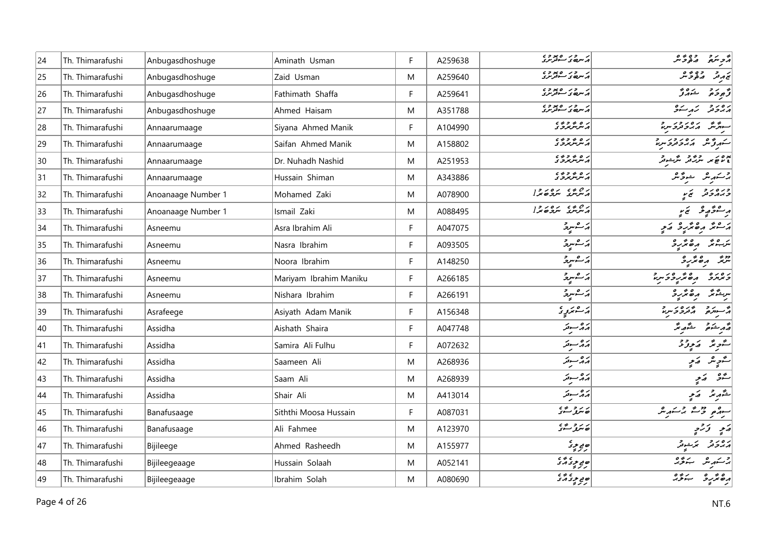| 24 | Th. Thimarafushi | Anbugasdhoshuge    | Aminath Usman          | F         | A259638 | پر سرچ ر صوبر و د<br>هرسرچه که مسافرس   |                                                                     |
|----|------------------|--------------------|------------------------|-----------|---------|-----------------------------------------|---------------------------------------------------------------------|
| 25 | Th. Thimarafushi | Anbugasdhoshuge    | Zaid Usman             | M         | A259640 | ر سرچ ر ه پو د پ<br>پرسرچي سنگورنوي     | ىم بۇ ھۇۋىر                                                         |
| 26 | Th. Thimarafushi | Anbugasdhoshuge    | Fathimath Shaffa       | F         | A259641 | ر سرچر وړي.<br>د سرچي سوترس             | أوجوحه ينبهو                                                        |
| 27 | Th. Thimarafushi | Anbugasdhoshuge    | Ahmed Haisam           | M         | A351788 | ر<br>پرسرچ کی سوتوری                    | ړه رولندې                                                           |
| 28 | Th. Thimarafushi | Annaarumaage       | Siyana Ahmed Manik     | F         | A104990 | ر ه ۶ و ۶ و<br>مرس مربو و               | سەر ئەرەر دىر بور                                                   |
| 29 | Th. Thimarafushi | Annaarumaage       | Saifan Ahmed Manik     | M         | A158802 | ر ۵ ۶ ۶ ۶ ۶<br>۸ سرسربرو ی              | سكروكش مدود ورادر                                                   |
| 30 | Th. Thimarafushi | Annaarumaage       | Dr. Nuhadh Nashid      | ${\sf M}$ | A251953 | ر ه ۶ و ۶ و<br>پرس سر پر <del>ر</del> و | ×20 ر مرکز گرشونر<br>ج <i>نا</i> ھ بر گرکز گرشونر                   |
| 31 | Th. Thimarafushi | Annaarumaage       | Hussain Shiman         | M         | A343886 | ر ه ۶ و ۶ ه<br>د سرسربرو د              | برسكريش خرقريش                                                      |
| 32 | Th. Thimarafushi | Anoanaage Number 1 | Mohamed Zaki           | ${\sf M}$ | A078900 | ر میں مردہ مزا                          | 22012                                                               |
| 33 | Th. Thimarafushi | Anoanaage Number 1 | Ismail Zaki            | M         | A088495 | رەپ بەدە 12                             | بر شۇ پۇس ئ                                                         |
| 34 | Th. Thimarafushi | Asneemu            | Asra Ibrahim Ali       | F         | A047075 | ېر شورچ                                 |                                                                     |
| 35 | Th. Thimarafushi | Asneemu            | Nasra Ibrahim          | F         | A093505 | ىر مەسرى <sub>ر</sub><br>ئ              | ىر مەمۇر<br>ەر ھەتىر بەر<br>ب                                       |
| 36 | Th. Thimarafushi | Asneemu            | Noora Ibrahim          | F         | A148250 | بر مە <sub>سم</sub> ر<br>ئ              | دور ده ندره                                                         |
| 37 | Th. Thimarafushi | Asneemu            | Mariyam Ibrahim Maniku | F         | A266185 | أرمشور                                  | ە ھەمەر 3 كەر ج<br>بەھەمەر 3 كەر ج<br>ر ه ر ه<br><del>ر</del> بربرگ |
| 38 | Th. Thimarafushi | Asneemu            | Nishara Ibrahim        | F         | A266191 | ر<br>مەسىرىيەتى                         | سريشتر المتحرج                                                      |
| 39 | Th. Thimarafushi | Asrafeege          | Asiyath Adam Manik     | F         | A156348 | <br>  د سه پروپه                        | ה גב בגם בעל                                                        |
| 40 | Th. Thimarafushi | Assidha            | Aishath Shaira         | F         | A047748 | رژه سونئر                               | أمام شكار متحفيظ                                                    |
| 41 | Th. Thimarafushi | Assidha            | Samira Ali Fulhu       | F         | A072632 | بر ۾ سه پئر                             | ستمريژ<br>ە پەرى                                                    |
| 42 | Th. Thimarafushi | Assidha            | Saameen Ali            | M         | A268936 | بر ه<br>مرمر سونېر                      | سەر پىر<br>ەئىيە                                                    |
| 43 | Th. Thimarafushi | Assidha            | Saam Ali               | M         | A268939 | بر ه <sup>م</sup> سونتر                 | $\frac{1}{2}$ $\frac{1}{2}$                                         |
| 44 | Th. Thimarafushi | Assidha            | Shair Ali              | ${\sf M}$ | A413014 | رژه سونئر                               | ڪريز ڪر                                                             |
| 45 | Th. Thimarafushi | Banafusaage        | Siththi Moosa Hussain  | F         | A087031 | پر پر دیږي<br>ت <i>خ</i> سرگو ستري      |                                                                     |
| 46 | Th. Thimarafushi | Banafusaage        | Ali Fahmee             | ${\sf M}$ | A123970 | ە ئىردىم ئى                             | ە ئەر                                                               |
| 47 | Th. Thimarafushi | Bijileege          | Ahmed Rasheedh         | ${\sf M}$ | A155977 | <br>  ص ح ح ح<br>  ص ح ح ح              | ره ر <del>و</del> کرشونر<br>ا <i>دبر د</i> ند                       |
| 48 | Th. Thimarafushi | Bijileegeaage      | Hussain Solaah         | M         | A052141 | $rac{1}{5555500}$                       | چرىسى بەنۋە                                                         |
| 49 | Th. Thimarafushi | Bijileegeaage      | Ibrahim Solah          | ${\sf M}$ | A080690 | <br>  حو و د د د<br>  د رو              | $rac{1}{2}$                                                         |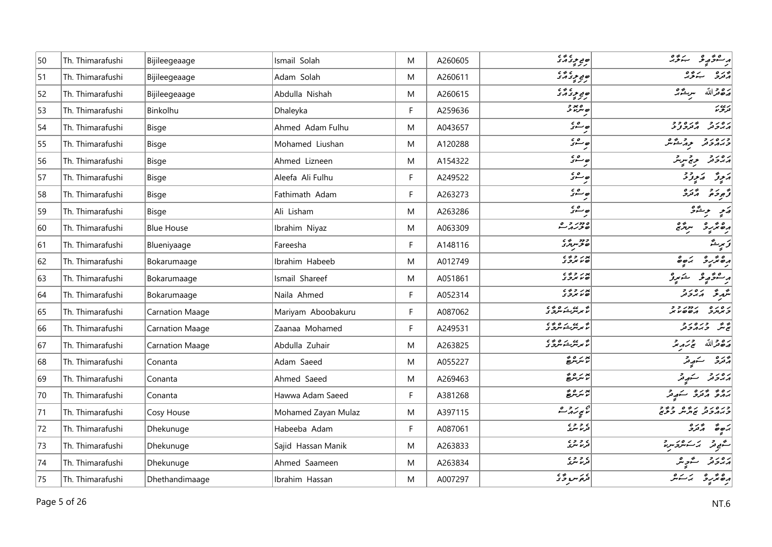| 50 | Th. Thimarafushi | Bijileegeaage          | Ismail Solah        | M         | A260605 | $rac{c}{s}$<br>$rac{c}{s}$                                                                                                                                                                                                      | وستوصفي بنقف                                                |
|----|------------------|------------------------|---------------------|-----------|---------|---------------------------------------------------------------------------------------------------------------------------------------------------------------------------------------------------------------------------------|-------------------------------------------------------------|
| 51 | Th. Thimarafushi | Bijileegeaage          | Adam Solah          | M         | A260611 | $rac{1}{5555500}$                                                                                                                                                                                                               | وره په ده<br>مردر سنوبر                                     |
| 52 | Th. Thimarafushi | Bijileegeaage          | Abdulla Nishah      | ${\sf M}$ | A260615 | $rac{1}{5555500}$                                                                                                                                                                                                               | سريشور<br>برە تراللە                                        |
| 53 | Th. Thimarafushi | Binkolhu               | Dhaleyka            | F         | A259636 | ە بىر د<br>ھەسرىر ئى                                                                                                                                                                                                            | ر ے ر<br>تونو ما                                            |
| 54 | Th. Thimarafushi | <b>Bisge</b>           | Ahmed Adam Fulhu    | ${\sf M}$ | A043657 | ەت                                                                                                                                                                                                                              | ره رو په دره وو<br>مربرونس مرتورونو                         |
| 55 | Th. Thimarafushi | <b>Bisge</b>           | Mohamed Liushan     | M         | A120288 | ھ سري                                                                                                                                                                                                                           | ورەرو ومشر                                                  |
| 56 | Th. Thimarafushi | Bisge                  | Ahmed Lizneen       | ${\sf M}$ | A154322 | ەت                                                                                                                                                                                                                              | ورود ولجارير                                                |
| 57 | Th. Thimarafushi | <b>Bisge</b>           | Aleefa Ali Fulhu    | F         | A249522 | ەت                                                                                                                                                                                                                              | أروق أرودتى                                                 |
| 58 | Th. Thimarafushi | <b>Bisge</b>           | Fathimath Adam      | F         | A263273 | ەت                                                                                                                                                                                                                              | 5593<br>پور ہ<br>مرکز                                       |
| 59 | Th. Thimarafushi | <b>Bisge</b>           | Ali Lisham          | ${\sf M}$ | A263286 | ەسىر                                                                                                                                                                                                                            | ړې وېځو                                                     |
| 60 | Th. Thimarafushi | <b>Blue House</b>      | Ibrahim Niyaz       | M         | A063309 | ە دىر دېم ھ                                                                                                                                                                                                                     | سرگرم                                                       |
| 61 | Th. Thimarafushi | Blueniyaage            | Fareesha            | F         | A148116 | ەدە پەر                                                                                                                                                                                                                         |                                                             |
| 62 | Th. Thimarafushi | Bokarumaage            | Ibrahim Habeeb      | M         | A012749 | پر روپر<br><i>هند پر</i> ور                                                                                                                                                                                                     | دە ئۈرۈ<br>$\overset{o}{\circ} \overset{\checkmark}{\circ}$ |
| 63 | Th. Thimarafushi | Bokarumaage            | Ismail Shareef      | M         | A051861 | پر ر د د و و<br>ت <i>ن مرد د</i>                                                                                                                                                                                                | رەئىم ئۇرۇ                                                  |
| 64 | Th. Thimarafushi | Bokarumaage            | Naila Ahmed         | F         | A052314 | پر ر د » »<br><i>ه تا بر د ی</i>                                                                                                                                                                                                | سٹیدیٹر<br>ەر دەر                                           |
| 65 | Th. Thimarafushi | <b>Carnation Maage</b> | Mariyam Aboobakuru  | F         | A087062 | ر<br>ما برېتون مرکز د                                                                                                                                                                                                           | ر ه ر ه<br><del>د</del> بربرو<br>77/77/7                    |
| 66 | Th. Thimarafushi | <b>Carnation Maage</b> | Zaanaa Mohamed      | F         | A249531 | ر سر به در در در در در در این برای که این این این بازی که بازی که بازی که بازی که بازی که بازی که بازی که بازی<br>منابع که بازی که بازی که بازی که بازی که بازی که بازی که بازی که بازی که بازی که بازی که بازی که بازی که بازی | په دره د د<br>بخش د برونر                                   |
| 67 | Th. Thimarafushi | <b>Carnation Maage</b> | Abdulla Zuhair      | M         | A263825 | ء<br>پڻ پوسڻ شرڪ سرچ ي                                                                                                                                                                                                          | رەقمەللە يخ ئىرىم                                           |
| 68 | Th. Thimarafushi | Conanta                | Adam Saeed          | M         | A055227 | بر بر <u>مرض</u> ح                                                                                                                                                                                                              | أردره ستهيفر                                                |
| 69 | Th. Thimarafushi | Conanta                | Ahmed Saeed         | M         | A269463 | بىز يەر ھ<br>ئاسىر بىر ھ                                                                                                                                                                                                        | رەرو سەرو                                                   |
| 70 | Th. Thimarafushi | Conanta                | Hawwa Adam Saeed    | F         | A381268 | بر بر مر<br>بر سر سرچ                                                                                                                                                                                                           | גם זיגם התנ                                                 |
| 71 | Th. Thimarafushi | Cosy House             | Mohamed Zayan Mulaz | M         | A397115 | ء <sub>نىم</sub> ئەرمىسىم                                                                                                                                                                                                       | כנסג ב גם ס בדב<br>המגבת התית ביבה                          |
| 72 | Th. Thimarafushi | Dhekunuge              | Habeeba Adam        | F         | A087061 | ړ <i>د</i> پر په<br>تور منسر پر                                                                                                                                                                                                 | رَه صَدَّ د                                                 |
| 73 | Th. Thimarafushi | Dhekunuge              | Sajid Hassan Manik  | ${\sf M}$ | A263833 | ړ <i>د</i> پر په<br>تور منسر پر                                                                                                                                                                                                 | ستھویر کے سکھ تکریریز                                       |
| 74 | Th. Thimarafushi | Dhekunuge              | Ahmed Saameen       | ${\sf M}$ | A263834 | ړ د د ،<br>تر <i>پ</i> اسري                                                                                                                                                                                                     | رەرد ئوپر                                                   |
| 75 | Th. Thimarafushi | Dhethandimaage         | Ibrahim Hassan      | ${\sf M}$ | A007297 | ه بر<br>مر <sub>وک</sub> سره څر                                                                                                                                                                                                 | رە ئۆر ئەسكىگى                                              |
|    |                  |                        |                     |           |         |                                                                                                                                                                                                                                 |                                                             |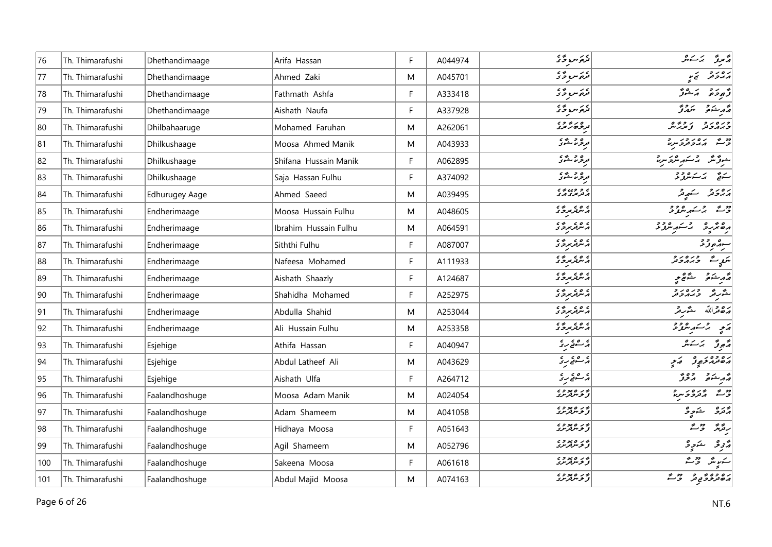| 76  | Th. Thimarafushi | Dhethandimaage        | Arifa Hassan          | F         | A044974 | ء پر سرو پر ۽<br> قرح سرو پر پر                         | برسەيىتىر<br>ا پر سورتر<br>ا                                                                                                                                                                                                     |
|-----|------------------|-----------------------|-----------------------|-----------|---------|---------------------------------------------------------|----------------------------------------------------------------------------------------------------------------------------------------------------------------------------------------------------------------------------------|
| 77  | Th. Thimarafushi | Dhethandimaage        | Ahmed Zaki            | ${\sf M}$ | A045701 | ې ئەھەر ئ <sup>ى</sup> رى<br>قىرمۇسىر ق <sup>ى</sup> رى | أرور و سي                                                                                                                                                                                                                        |
| 78  | Th. Thimarafushi | Dhethandimaage        | Fathmath Ashfa        | F         | A333418 | مُرْجَر سو حَرَى                                        | توجدة مشر                                                                                                                                                                                                                        |
| 79  | Th. Thimarafushi | Dhethandimaage        | Aishath Naufa         | F         | A337928 | ے پر ہر ہے تا<br>توجہ سرو تر <sub>ک</sub>               | أشهر شدة المتركز                                                                                                                                                                                                                 |
| 80  | Th. Thimarafushi | Dhilbahaaruge         | Mohamed Faruhan       | M         | A262061 | و د ه د و ،<br>درمر <i>ه ر</i> برد                      | ورەرو روماھ<br>جەمەدىر ۋىرشىر                                                                                                                                                                                                    |
| 81  | Th. Thimarafushi | Dhilkushaage          | Moosa Ahmed Manik     | M         | A043933 | د ۶ و ۶ شو <sup>ي</sup>                                 | מ מיניים                                                                                                                                                                                                                         |
| 82  | Th. Thimarafushi | Dhilkushaage          | Shifana Hussain Manik | F         | A062895 | دره <sup>و</sup> پر پر پر                               | جۇڭگە كەسكىرىككەنبولا                                                                                                                                                                                                            |
| 83  | Th. Thimarafushi | Dhilkushaage          | Saja Hassan Fulhu     | F         | A374092 | وره د <sup>پو</sup> رې<br>درنوم شور                     | سەنچ برسەمبروتى                                                                                                                                                                                                                  |
| 84  | Th. Thimarafushi | <b>Edhurugey Aage</b> | Ahmed Saeed           | ${\sf M}$ | A039495 | ن و ون پر ن<br>پرتر پری پر ی                            | پره رو سکھیے                                                                                                                                                                                                                     |
| 85  | Th. Thimarafushi | Endherimaage          | Moosa Hussain Fulhu   | M         | A048605 | پر عربر پر پر پر                                        | دو مع می شور مورد و در داران کرد.<br>معاشر می شور مورد مورد می شور می شور می شور می شور می کنیم به این می شور کردن که به این کار می کنیم به این کار                                                                              |
| 86  | Th. Thimarafushi | Endherimaage          | Ibrahim Hussain Fulhu | M         | A064591 | پر عربر پر پر پر                                        | رەئرىر بر ئىرسىرد                                                                                                                                                                                                                |
| 87  | Th. Thimarafushi | Endherimaage          | Siththi Fulhu         | F         | A087007 | ې ه د پر په په<br>مرمر پر د ک                           | ره ود د<br>سره دو د                                                                                                                                                                                                              |
| 88  | Th. Thimarafushi | Endherimaage          | Nafeesa Mohamed       | F         | A111933 | ء ه ۽ پر پري<br> پرسربربربربر                           | ىئى <sub>د</sub> ىشە<br>و رە ر د<br>تر پروتر                                                                                                                                                                                     |
| 89  | Th. Thimarafushi | Endherimaage          | Aishath Shaazly       | F         | A124687 | ې ه ډېر دي.<br>مرمرکز                                   |                                                                                                                                                                                                                                  |
| 90  | Th. Thimarafushi | Endherimaage          | Shahidha Mohamed      | F         | A252975 | ې ه ډېر دي.<br>مرمرکز                                   | شرره دره د ور                                                                                                                                                                                                                    |
| 91  | Th. Thimarafushi | Endherimaage          | Abdulla Shahid        | ${\sf M}$ | A253044 | ء عرو برير تر د<br> مرتقبه بر                           | رەقمەللە ھەرىر                                                                                                                                                                                                                   |
| 92  | Th. Thimarafushi | Endherimaage          | Ali Hussain Fulhu     | ${\sf M}$ | A253358 | ء عرو بريخ د<br> مرتگر برچ                              | ە ئەسىر مەدر                                                                                                                                                                                                                     |
| 93  | Th. Thimarafushi | Esjehige              | Athifa Hassan         | F         | A040947 | ې مه هم په دي<br>مرگ                                    | مەبۇق بەسەھ                                                                                                                                                                                                                      |
| 94  | Th. Thimarafushi | Esjehige              | Abdul Latheef Ali     | ${\sf M}$ | A043629 | ې ده پې دي<br>درگستي مرکز                               | ره وه د<br>مه همگر دي<br>ەتىر                                                                                                                                                                                                    |
| 95  | Th. Thimarafushi | Esjehige              | Aishath Ulfa          | F         | A264712 | ې مه دې په د                                            | و ده ده و                                                                                                                                                                                                                        |
| 96  | Th. Thimarafushi | Faalandhoshuge        | Moosa Adam Manik      | M         | A024054 | ء ر ەير د ،<br>تۆترىرىرى                                | ר בי הנגב ביינו                                                                                                                                                                                                                  |
| 97  | Th. Thimarafushi | Faalandhoshuge        | Adam Shameem          | M         | A041058 | ء ر ەير د ،<br>تۇخسىرىرى                                | پەرە<br>مەنىرى<br>ڪوچ                                                                                                                                                                                                            |
| 98  | Th. Thimarafushi | Faalandhoshuge        | Hidhaya Moosa         | F         | A051643 | ء ر ه پر و ،<br>تر <del>و</del> سرتر ر                  | ر پوهر<br>ر<br>دومع                                                                                                                                                                                                              |
| 99  | Th. Thimarafushi | Faalandhoshuge        | Agil Shameem          | ${\sf M}$ | A052796 | ء ر ه پر د ،<br>تر <del>ت</del> ر سربر                  | د و د عکم د د د کار د د کار د کار د کار د کار د کار د کار د کار د کار د کار د کار د کار د کار د کار د کار د کا<br>مار کار کار د کار د کار د کار د کار د کار د کار د کار د کار د کار د کار د کار د کار د کار د کار د کار د کار دی |
| 100 | Th. Thimarafushi | Faalandhoshuge        | Sakeena Moosa         | F         | A061618 | ء ر ەير د ،<br>تۇخسىرىرى                                | سەرپىتىر<br>دومثر                                                                                                                                                                                                                |
| 101 | Th. Thimarafushi | Faalandhoshuge        | Abdul Majid Moosa     | ${\sf M}$ | A074163 | ء ر ەير د ،<br>تۇ ئوسرلىرى                              | ره وه په د دور په د                                                                                                                                                                                                              |
|     |                  |                       |                       |           |         |                                                         |                                                                                                                                                                                                                                  |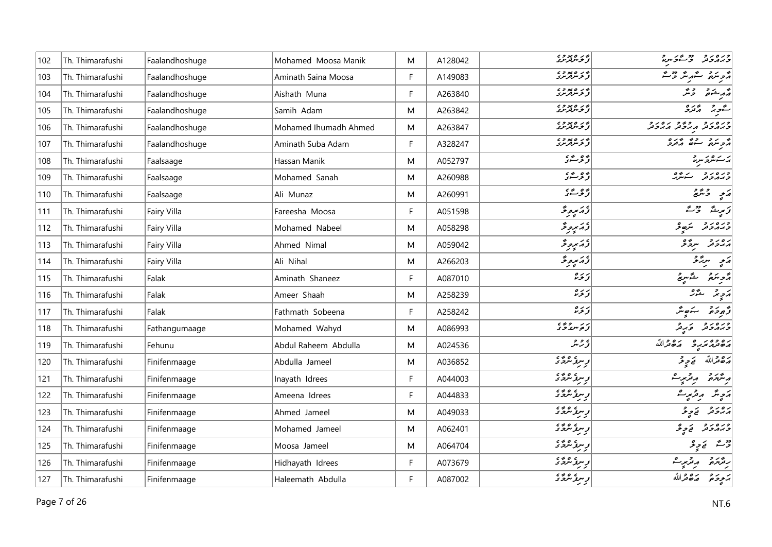| 102 | Th. Thimarafushi | Faalandhoshuge | Mohamed Moosa Manik   | M           | A128042 | ء ر ەير د ،<br>تونوس ترى               | כנסגב כביבה<br>כגובת בייביתיו             |
|-----|------------------|----------------|-----------------------|-------------|---------|----------------------------------------|-------------------------------------------|
| 103 | Th. Thimarafushi | Faalandhoshuge | Aminath Saina Moosa   | $\mathsf F$ | A149083 | ر د ه پر د د<br>تر تر سربر ر           | ە ئەستە ئەر ئەر تەر                       |
| 104 | Th. Thimarafushi | Faalandhoshuge | Aishath Muna          | F           | A263840 | ی رے پر وے<br>تو تو سربر ری            | أمار من أمريكم المحامل                    |
| 105 | Th. Thimarafushi | Faalandhoshuge | Samih Adam            | M           | A263842 | ء ر ە ير د ،<br>توخ سرتىرىرى           | ستمورژ<br>پور ہ<br>پر تر پ                |
| 106 | Th. Thimarafushi | Faalandhoshuge | Mohamed Ihumadh Ahmed | M           | A263847 | ء ر ەير د ،<br>تونوس ترى               | כנסנכ גבב נסנכ<br>כמהכנק המכנק המכנק      |
| 107 | Th. Thimarafushi | Faalandhoshuge | Aminath Suba Adam     | F           | A328247 | ء ر ه پر د ،<br>تر تر تر تر ر          | أثر برو المحدة المحددة                    |
| 108 | Th. Thimarafushi | Faalsaage      | Hassan Manik          | M           | A052797 | پە بە بە »                             | ر<br>ئەسەھ <sub>ى</sub> جەسرىيە           |
| 109 | Th. Thimarafushi | Faalsaage      | Mohamed Sanah         | M           | A260988 | ۇ ۋرىچ                                 | ورەرو سەپى                                |
| 110 | Th. Thimarafushi | Faalsaage      | Ali Munaz             | M           | A260991 | ۇ ۋرىچ                                 | $\frac{2}{3}$ $\frac{2}{3}$ $\frac{2}{3}$ |
| 111 | Th. Thimarafushi | Fairy Villa    | Fareesha Moosa        | F           | A051598 | ۇ ئەسمەھ گ <sup>ى</sup>                | ترىرىش تۇرگ                               |
| 112 | Th. Thimarafushi | Fairy Villa    | Mohamed Nabeel        | M           | A058298 | ۇرىمبرە ئۇ                             | وره دو سکھو                               |
| 113 | Th. Thimarafushi | Fairy Villa    | Ahmed Nimal           | M           | A059042 | ا دېم مورځه<br>د سيمبر                 | رەرد سرگە                                 |
| 114 | Th. Thimarafushi | Fairy Villa    | Ali Nihal             | M           | A266203 | ۇرىمبرە ئۇ                             | ري سرگر                                   |
| 115 | Th. Thimarafushi | Falak          | Aminath Shaneez       | $\mathsf F$ | A087010 | ۇئۇر                                   |                                           |
| 116 | Th. Thimarafushi | Falak          | Ameer Shaah           | M           | A258239 | ۇ ئە                                   |                                           |
| 117 | Th. Thimarafushi | Falak          | Fathmath Sobeena      | $\mathsf F$ | A258242 | وَىتَرَمْ                              | أزودة بنوشر                               |
| 118 | Th. Thimarafushi | Fathangumaage  | Mohamed Wahyd         | M           | A086993 | ر ر به دره با<br>توکار مرکز ک          | ورەرو كەيتر                               |
| 119 | Th. Thimarafushi | Fehunu         | Abdul Raheem Abdulla  | M           | A024536 | ۇرتىر                                  | بره وه بر و بره و الله                    |
| 120 | Th. Thimarafushi | Finifenmaage   | Abdulla Jameel        | M           | A036852 | ار سر ده وي <del>.</del><br>پ          | برة والله تح و و ثر                       |
| 121 | Th. Thimarafushi | Finifenmaage   | Inayath Idrees        | F           | A044003 | ر سرگە شر <sup>ى ي</sup>               | ويتكرد وتربرت                             |
| 122 | Th. Thimarafushi | Finifenmaage   | Ameena Idrees         | $\mathsf F$ | A044833 | ى <sub>ر سرىگە</sub> شرچ <sup>ى</sup>  | أرويتر أرفرسي والمحمد                     |
| 123 | Th. Thimarafushi | Finifenmaage   | Ahmed Jameel          | M           | A049033 | ى <sub>ر س</sub> ېۋىتر <sub>ى</sub> تى | دەرد ئەچ                                  |
| 124 | Th. Thimarafushi | Finifenmaage   | Mohamed Jameel        | M           | A062401 | ى <sub>ر س</sub> وڭرىگە ئ              | دره در در در در                           |
| 125 | Th. Thimarafushi | Finifenmaage   | Moosa Jameel          | M           | A064704 | ر سرگەشر <i>د</i> كە                   | دخته نوکړو                                |
| 126 | Th. Thimarafushi | Finifenmaage   | Hidhayath Idrees      | F           | A073679 | ر سرگە شر <i>د</i> گە                  | روزود روزبرے                              |
| 127 | Th. Thimarafushi | Finifenmaage   | Haleemath Abdulla     | F           | A087002 | ى <sub>ر س</sub> ېۋىتر <sub>ى</sub> تى | أتهج وتحدد الله                           |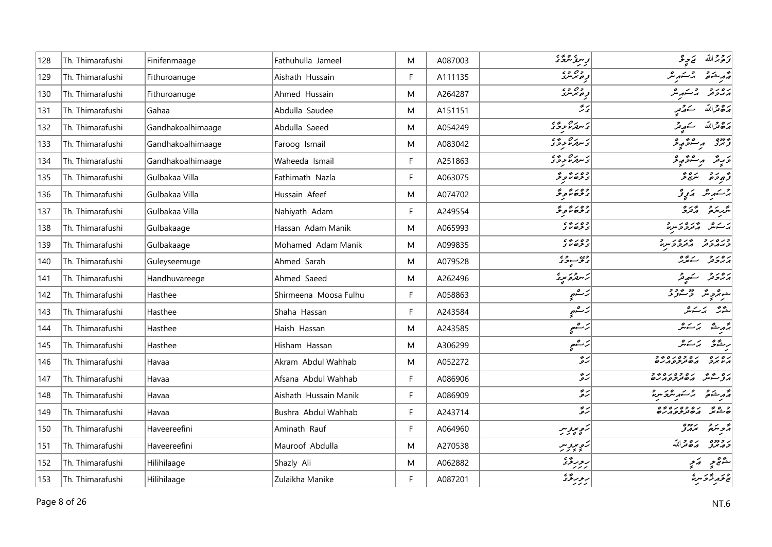| 128 | Th. Thimarafushi | Finifenmaage      | Fathuhulla Jameel     | M           | A087003 | ر سرگە شر <i>د</i> گە            | تروح الله تح ويحر                                          |
|-----|------------------|-------------------|-----------------------|-------------|---------|----------------------------------|------------------------------------------------------------|
| 129 | Th. Thimarafushi | Fithuroanuge      | Aishath Hussain       | F           | A111135 | وه وج                            | مەر شىم بىر سىمبەش                                         |
| 130 | Th. Thimarafushi | Fithuroanuge      | Ahmed Hussain         | M           | A264287 | وه وه و،<br>وه مرس               | رەرو جەسىرىكى                                              |
| 131 | Th. Thimarafushi | Gahaa             | Abdulla Saudee        | M           | A151151 | ىزچ                              | برە تراللە<br>ستهجر فير                                    |
| 132 | Th. Thimarafushi | Gandhakoalhimaaqe | Abdulla Saeed         | M           | A054249 | <br>  ئەستىرىئا بىرىدى           | برە والله<br>سەر چە                                        |
| 133 | Th. Thimarafushi | Gandhakoalhimaaqe | Faroog Ismail         | M           | A083042 | ر سره روي<br>د سرټرنا نوڅ د      | و ده و مرگور و                                             |
| 134 | Th. Thimarafushi | Gandhakoalhimaage | Waheeda Ismail        | F           | A251863 | ر سور به رو د<br>د سور با برد د  | أقربيق وسفوه ويحر                                          |
| 135 | Th. Thimarafushi | Gulbakaa Villa    | Fathimath Nazla       | $\mathsf F$ | A063075 | د وړ ئ <sub>م</sub> و ځه         | تزود مزة عريم                                              |
| 136 | Th. Thimarafushi | Gulbakaa Villa    | Hussain Afeef         | M           | A074702 | <br> ئەنزە ئامرىگە               | ير سەر شەر ئەر ئە                                          |
| 137 | Th. Thimarafushi | Gulbakaa Villa    | Nahiyath Adam         | F           | A249554 | د دە ئە ئوق                      | شريرة مجرة                                                 |
| 138 | Th. Thimarafushi | Gulbakaage        | Hassan Adam Manik     | M           | A065993 | وه ر پر پر<br><b>ی نژ</b> ه تو ت | ير مير مدرور مرد                                           |
| 139 | Th. Thimarafushi | Gulbakaage        | Mohamed Adam Manik    | M           | A099835 | وه رپږ<br>د <del>ن</del> ره نړۍ  | כנסנכ שנפלית                                               |
| 140 | Th. Thimarafushi | Guleyseemuge      | Ahmed Sarah           | M           | A079528 | دىپ <sub>ە سى</sub> رى<br>ئ      | ره رو در ده                                                |
| 141 | Th. Thimarafushi | Handhuvareege     | Ahmed Saeed           | M           | A262496 | ر سرچر <i>ی پر</i> ی             | ړه رو شهيد                                                 |
| 142 | Th. Thimarafushi | Hasthee           | Shirmeena Moosa Fulhu | F           | A058863 | ئرشو                             | شوټروپس وصورتونو                                           |
| 143 | Th. Thimarafushi | Hasthee           | Shaha Hassan          | F           | A243584 | ئرشو                             | شروح الاستراش                                              |
| 144 | Th. Thimarafushi | Hasthee           | Haish Hassan          | M           | A243585 | ئر ڪ <sub>ھو</sub>               | گەرگ كەسكەش                                                |
| 145 | Th. Thimarafushi | Hasthee           | Hisham Hassan         | M           | A306299 | ئر ڪھيج                          | رىقۇ بەسكىر                                                |
| 146 | Th. Thimarafushi | Havaa             | Akram Abdul Wahhab    | M           | A052272 | رَگ                              | ر ٥ ر ٥ ر ٥ ر و<br>پر ۰ تر <del>تر</del> و بر ۶<br>ەرە برە |
| 147 | Th. Thimarafushi | Havaa             | Afsana Abdul Wahhab   | F           | A086906 | رپچ                              | ره مورد ده ده ده دو<br>مرکز شهر می توجوم ره                |
| 148 | Th. Thimarafushi | Havaa             | Aishath Hussain Manik | $\mathsf F$ | A086909 | ريح                              | جە سەمەر شرىر شرىر<br>ر<br>دگرار شکوهی                     |
| 149 | Th. Thimarafushi | Havaa             | Bushra Abdul Wahhab   | $\mathsf F$ | A243714 | رپچ                              | ر ه و ه د ه د ه<br>پره تر تر ژرگ<br>ە يە ئە<br>ھ           |
| 150 | Th. Thimarafushi | Haveereefini      | Aminath Rauf          | F           | A064960 | رڻ پرويبر<br>پختين               | أثر حريثهم<br>ر دد ه<br>بود تو                             |
| 151 | Th. Thimarafushi | Haveereefini      | Mauroof Abdulla       | M           | A270538 | رَه مرو میر<br>مسیح کو کر        | ر و دوه<br><del>و</del> پر تر<br>وكحصرالله                 |
| 152 | Th. Thimarafushi | Hilihilaage       | Shazly Ali            | M           | A062882 | رىرىدۇ ئا                        | القيمجمج<br>رځمني                                          |
| 153 | Th. Thimarafushi | Hilihilaage       | Zulaikha Manike       | F           | A087201 | ر ور ژُء<br>بر د                 | چ ځه پر <i>د څ</i> کرينو<br>مخبر مشک                       |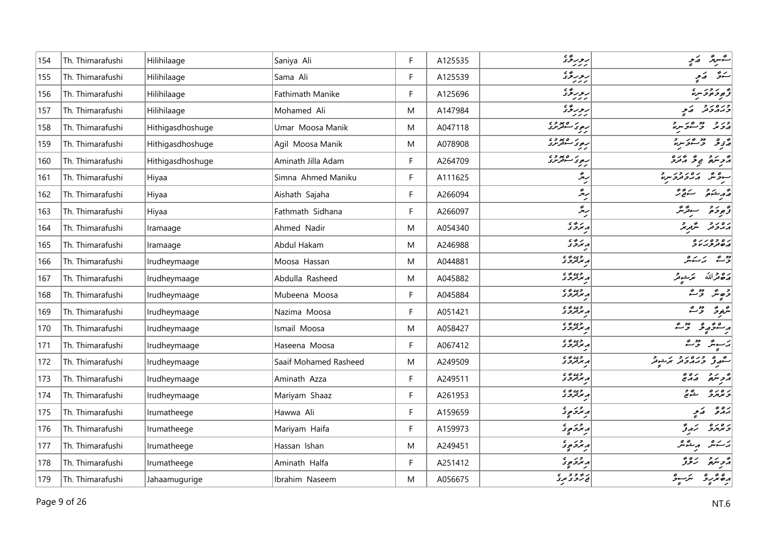| 154 | Th. Thimarafushi | Hilihilaage      | Saniya Ali            | F  | A125535 | رىرىدۇ ؟<br>برىرىدۇ ؟               | گەندۇ.<br>مەسىر<br>ەنىر                                                                                                                                                                                                          |
|-----|------------------|------------------|-----------------------|----|---------|-------------------------------------|----------------------------------------------------------------------------------------------------------------------------------------------------------------------------------------------------------------------------------|
| 155 | Th. Thimarafushi | Hilihilaage      | Sama Ali              | F. | A125539 | ر ور ژُء<br>ر ر                     | $\frac{1}{2}$ $\frac{2}{2}$                                                                                                                                                                                                      |
| 156 | Th. Thimarafushi | Hilihilaage      | Fathimath Manike      | F. | A125696 | ر د رگ <sup>ې</sup><br>ر            | ا توجه د حرم مرغ<br> <br>مراجع حرم حرم مرغ                                                                                                                                                                                       |
| 157 | Th. Thimarafushi | Hilihilaage      | Mohamed Ali           | M  | A147984 | ر ور د د.<br>ر                      | ورەرو كې                                                                                                                                                                                                                         |
| 158 | Th. Thimarafushi | Hithigasdhoshuge | Umar Moosa Manik      | M  | A047118 | ر ه د و د و د<br>ره د کسونورو ک     | כני מימי הי                                                                                                                                                                                                                      |
| 159 | Th. Thimarafushi | Hithigasdhoshuge | Agil Moosa Manik      | M  | A078908 | ا ره د حسور د د د<br>کرد د سوتر مرد | دو مرد د در د<br>وتحرقر                                                                                                                                                                                                          |
| 160 | Th. Thimarafushi | Hithigasdhoshuge | Aminath Jilla Adam    | F  | A264709 | اره در ۲۵ وی<br>اره در متورندد      | دُوسَمَ و دُرَهِ                                                                                                                                                                                                                 |
| 161 | Th. Thimarafushi | Hiyaa            | Simna Ahmed Maniku    | F  | A111625 | رپڙ<br>╭                            | - 22101 20                                                                                                                                                                                                                       |
| 162 | Th. Thimarafushi | Hiyaa            | Aishath Sajaha        | F  | A266094 | رېژ                                 | وكرمشكم المستور                                                                                                                                                                                                                  |
| 163 | Th. Thimarafushi | Hiyaa            | Fathmath Sidhana      | F. | A266097 | رېژ                                 | سىدىگە<br>ۇ بوخ <sub>ى</sub>                                                                                                                                                                                                     |
| 164 | Th. Thimarafushi | Iramaage         | Ahmed Nadir           | M  | A054340 | د بود و<br>د بورو د                 | بر 2 پر ج<br>مربر <del>3</del> تر<br>سگرورنر                                                                                                                                                                                     |
| 165 | Th. Thimarafushi | Iramaage         | Abdul Hakam           | M  | A246988 | ە ئەرەبى                            | ر ه و ه ر ر ه<br>پره تر پر ر و                                                                                                                                                                                                   |
| 166 | Th. Thimarafushi | Irudheymaage     | Moosa Hassan          | M  | A044881 | <br>  مرمز تر د ی                   | دیم پر پر پر                                                                                                                                                                                                                     |
| 167 | Th. Thimarafushi | Irudheymaage     | Abdulla Rasheed       | M  | A045882 | د وړ.<br>د مرتزو د                  | رەقماللە ىمىشوقر                                                                                                                                                                                                                 |
| 168 | Th. Thimarafushi | Irudheymaage     | Mubeena Moosa         | F  | A045884 | و پر بر بر<br>در موفور و            | و مشر ورگ<br>ا                                                                                                                                                                                                                   |
| 169 | Th. Thimarafushi | Irudheymaage     | Nazima Moosa          | F. | A051421 | د وړ، د ،<br>د برترو د              | سمَّعُورَّ<br>ديسته                                                                                                                                                                                                              |
| 170 | Th. Thimarafushi | Irudheymaage     | Ismail Moosa          | M  | A058427 | <br>  پر برتر ژ <sub>ک</sub>        | ر عۇرپۇ دىم                                                                                                                                                                                                                      |
| 171 | Th. Thimarafushi | Irudheymaage     | Haseena Moosa         | F. | A067412 | <br>  پر برتر ژ <sub>ک</sub>        | ىز سورىقى توستر<br>مەنبە                                                                                                                                                                                                         |
| 172 | Th. Thimarafushi | Irudheymaage     | Saaif Mohamed Rasheed | M  | A249509 | <br>  مرمزدی                        | ا معروف 1970 من من من من المحدد المحمد المحمد المحمد المحمد المحمد المحمد المحمد المحمد المحمد المحمد المحمد ا<br>المستوفى المحمد المحمد المحمد المحمد المحمد المحمد المحمد المحمد المحمد المحمد المحمد المحمد المحمد المحمد الم |
| 173 | Th. Thimarafushi | Irudheymaage     | Aminath Azza          | F  | A249511 | <br>  مرمزدی                        | ەدەنج<br>أرمر وسرة                                                                                                                                                                                                               |
| 174 | Th. Thimarafushi | Irudheymaage     | Mariyam Shaaz         | F  | A261953 | د ده، د ،<br>د مرتزو د              | ر ه ر ه<br><del>ر</del> بربر د<br>ے مجمع                                                                                                                                                                                         |
| 175 | Th. Thimarafushi | Irumatheege      | Hawwa Ali             | F  | A159659 | ېر تر <i>ځ</i> رې د                 | رە پە<br>ەتىر                                                                                                                                                                                                                    |
| 176 | Th. Thimarafushi | Irumatheege      | Mariyam Haifa         | F  | A159973 | وبردوء                              | ويوبره<br>تربر تخ                                                                                                                                                                                                                |
| 177 | Th. Thimarafushi | Irumatheege      | Hassan Ishan          | M  | A249451 | <br>  پر ټر څرم <sup>ځ</sup>        | ىرىكى مەئقىر                                                                                                                                                                                                                     |
| 178 | Th. Thimarafushi | Irumatheege      | Aminath Halfa         | F. | A251412 | <br>  بر برگرم <sup>ي</sup>         | رەپى<br>أرمز                                                                                                                                                                                                                     |
| 179 | Th. Thimarafushi | Jahaamugurige    | Ibrahim Naseem        | M  | A056675 | ر ۶ و و<br>قع تر <del>و</del> ۶ موی | رەنۇرۇ بىر دۇ                                                                                                                                                                                                                    |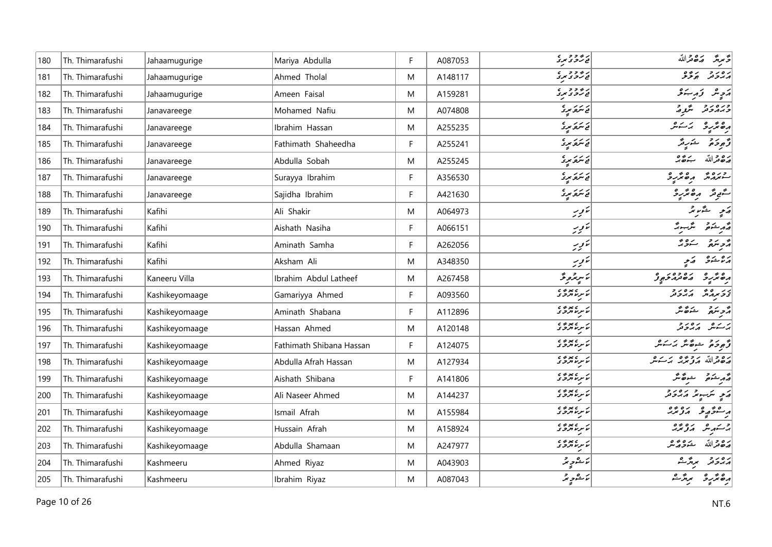| 180 | Th. Thimarafushi | Jahaamugurige  | Mariya Abdulla           | F  | A087053 | ر ۶ و و<br>ق رو د مرد             | حَمِيعٌ صَهْرَاللّه                                         |
|-----|------------------|----------------|--------------------------|----|---------|-----------------------------------|-------------------------------------------------------------|
| 181 | Th. Thimarafushi | Jahaamugurige  | Ahmed Tholal             | M  | A148117 | پر بر و و ر پر<br>  فنح رس کر سری | د ۱۵ د بر د و د                                             |
| 182 | Th. Thimarafushi | Jahaamugurige  | Ameen Faisal             | M  | A159281 | ر ۶ و و<br>ق رگ و تو تو ت         | ړَ په ته دَ پ                                               |
| 183 | Th. Thimarafushi | Janavareege    | Mohamed Nafiu            | M  | A074808 | ئے سَرَعَہ سِرِیْہ                | و ر ه ر د<br>تر پر ژ تر                                     |
| 184 | Th. Thimarafushi | Janavareege    | Ibrahim Hassan           | M  | A255235 | ئے سَرَ تَدَ سِرِ زُ              | دەندىر<br>برسەمىر                                           |
| 185 | Th. Thimarafushi | Janavareege    | Fathimath Shaheedha      | F  | A255241 | ئے مترکھ سریحہ                    | و څې پر د<br>شەرقر                                          |
| 186 | Th. Thimarafushi | Janavareege    | Abdulla Sobah            | M  | A255245 | ئے سَرَ تَد سِرِ زَ               | برە ترالله<br>بەھ                                           |
| 187 | Th. Thimarafushi | Janavareege    | Surayya Ibrahim          | F  | A356530 | ر<br>في متركة مور                 | سىمەمۇ<br>ەھ ترىر 3                                         |
| 188 | Th. Thimarafushi | Janavareege    | Sajidha Ibrahim          | F. | A421630 | ئے سَرَ تَد سِرِ زَ               | سَنَّمْ وَمَّر                                              |
| 189 | Th. Thimarafushi | Kafihi         | Ali Shakir               | M  | A064973 | أتمويح                            | ەكىمە ئىقىدىد<br>مە                                         |
| 190 | Th. Thimarafushi | Kafihi         | Aishath Nasiha           | F. | A066151 | ئە توپە                           | پر<br>در کرد شوه<br>ىترىبەرى                                |
| 191 | Th. Thimarafushi | Kafihi         | Aminath Samha            | F  | A262056 | ئە بەر<br>س                       | سەدىر<br>أروسكو                                             |
| 192 | Th. Thimarafushi | Kafihi         | Aksham Ali               | M  | A348350 | تذوير                             | رەپنە<br>رځ م                                               |
| 193 | Th. Thimarafushi | Kaneeru Villa  | Ibrahim Abdul Latheef    | M  | A267458 | ئەس <sub>رىم</sub> رى<br>ئەسرىمرى | ر ه و ه د ر ه<br>پره تر پر تر بو ژ<br>ە ھەترىر <sup>ە</sup> |
| 194 | Th. Thimarafushi | Kashikeyomaage | Gamariyya Ahmed          | F  | A093560 | ر پر دی.<br>ما مربع افروک         | י יותר היידית<br>צבתחית היידית                              |
| 195 | Th. Thimarafushi | Kashikeyomaage | Aminath Shabana          | F. | A112896 | ر پر ده د.<br>ما مرما مرد د       | شەھ ئىر<br>ړې سره                                           |
| 196 | Th. Thimarafushi | Kashikeyomaage | Hassan Ahmed             | M  | A120148 | ر می پردی<br>ما مرما افراد ک      | يركبش المرور و                                              |
| 197 | Th. Thimarafushi | Kashikeyomaage | Fathimath Shibana Hassan | F. | A124075 | ر پر ده د.<br>ما مرما مرد د       | ژُودَهْ شەھْسٌ بُرَ كَسْرَ                                  |
| 198 | Th. Thimarafushi | Kashikeyomaage | Abdulla Afrah Hassan     | M  | A127934 | ر په پوه په<br>ماسر مانزنو پ      | رە داللە پروپرە برىكىر                                      |
| 199 | Th. Thimarafushi | Kashikeyomaage | Aishath Shibana          | F  | A141806 | ر سره پروسی<br>مرس                | د.<br><i>د آ</i> ر شومی شو <i>ه مر</i>                      |
| 200 | Th. Thimarafushi | Kashikeyomaage | Ali Naseer Ahmed         | M  | A144237 | ر<br>مأسر ما مركز ي               | ړې سرسوله کارونو                                            |
| 201 | Th. Thimarafushi | Kashikeyomaage | Ismail Afrah             | M  | A155984 | ر پر دی۔<br>ماسر ماہرو ی          | وسعوصي والمولدة                                             |
| 202 | Th. Thimarafushi | Kashikeyomaage | Hussain Afrah            | M  | A158924 | ر<br>ما مورد مرکز ی               | چە سەھەر بەر بولۇمۇر                                        |
| 203 | Th. Thimarafushi | Kashikeyomaage | Abdulla Shamaan          | M  | A247977 | ر میرون<br>ما مرما ارد ی          | شەھ ئەشر<br>صقعرالله                                        |
| 204 | Th. Thimarafushi | Kashmeeru      | Ahmed Riyaz              | M  | A043903 | ىر شوچە تە<br>ئاسشىر تەر          | גם ג' בית בי                                                |
| 205 | Th. Thimarafushi | Kashmeeru      | Ibrahim Riyaz            | M  | A087043 | ىد ھەجە تىر                       | مەھەر ئەمەر                                                 |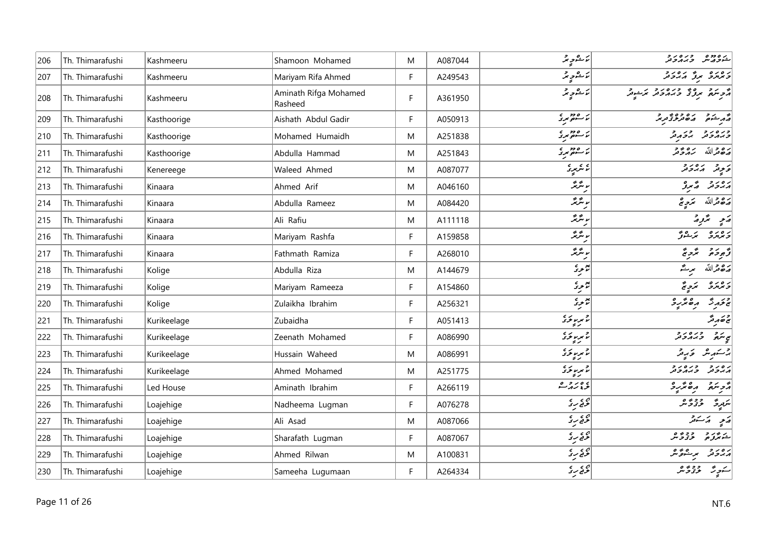| 206 | Th. Thimarafushi | Kashmeeru   | Shamoon Mohamed                  | M           | A087044 | لأمشو بز                            | ره ده دره در د<br>شوره سر د بر د تر         |
|-----|------------------|-------------|----------------------------------|-------------|---------|-------------------------------------|---------------------------------------------|
| 207 | Th. Thimarafushi | Kashmeeru   | Mariyam Rifa Ahmed               | F           | A249543 | ئەشقىيە تىر                         | و وره برو مدوند                             |
| 208 | Th. Thimarafushi | Kashmeeru   | Aminath Rifga Mohamed<br>Rasheed | F           | A361950 | لأشقو يتمه                          | י<br>הכיים יערב כמחכת היינה                 |
| 209 | Th. Thimarafushi | Kasthoorige | Aishath Abdul Gadir              | F           | A050913 | ر صدر میں<br>ماسسوہ میری            | د در ده ده ده در د<br>د د شوی د ه مروی مرمر |
| 210 | Th. Thimarafushi | Kasthoorige | Mohamed Humaidh                  | M           | A251838 | ر ۶۶۵ وج<br>ما مستوجه مرد           | כנסנכ כנב                                   |
| 211 | Th. Thimarafushi | Kasthoorige | Abdulla Hammad                   | M           | A251843 | ر دود پر<br>بر سوه مرد              | مَصْعَراللَّهُ رَمْرَةَ مَرْ                |
| 212 | Th. Thimarafushi | Kenereege   | Waleed Ahmed                     | M           | A087077 | ې پرېږي<br>مرسم <i>و</i>            | تدوير بالمردور                              |
| 213 | Th. Thimarafushi | Kinaara     | Ahmed Arif                       | M           | A046160 | ىرىترىتر                            | أرور و حمومى                                |
| 214 | Th. Thimarafushi | Kinaara     | Abdulla Rameez                   | M           | A084420 | ىرىترىتر                            | <mark>برء تر</mark> الله<br>بحرحرهم         |
| 215 | Th. Thimarafushi | Kinaara     | Ali Rafiu                        | M           | A111118 | ىرىترىتر                            | أأرمي المرورة                               |
| 216 | Th. Thimarafushi | Kinaara     | Mariyam Rashfa                   | F           | A159858 | ىدىشرىتىگە                          | رەرە برشۇ                                   |
| 217 | Th. Thimarafushi | Kinaara     | Fathmath Ramiza                  | F           | A268010 | ر متریخه                            | برٌّريٌّ<br>و مرد د<br>اقرامو خانو          |
| 218 | Th. Thimarafushi | Kolige      | Abdulla Riza                     | M           | A144679 | ليوي                                | ەھىراللە<br>ىرىتىگە                         |
| 219 | Th. Thimarafushi | Kolige      | Mariyam Rameeza                  | F           | A154860 | لتعمره                              | بمرحريح<br>ر ه ر ه<br>تر بر بر              |
| 220 | Th. Thimarafushi | Kolige      | Zulaikha Ibrahim                 | F           | A256321 | لتعمير                              | وە ئەرج<br>چ ئۇ <sub>م</sub> رگ             |
| 221 | Th. Thimarafushi | Kurikeelage | Zubaidha                         | F           | A051413 | ر<br>سرپرېونه<br>سرپر               | ور<br>مح ھەمرىگر                            |
| 222 | Th. Thimarafushi | Kurikeelage | Zeenath Mohamed                  | $\mathsf F$ | A086990 | ر<br>سرپرېونه<br>سرپر               | ىپە ئىر<br>و رە ر د<br>تر پروتر             |
| 223 | Th. Thimarafushi | Kurikeelage | Hussain Waheed                   | M           | A086991 | د برروز کاری<br>مربوع               | بر کے مریر کے برقر                          |
| 224 | Th. Thimarafushi | Kurikeelage | Ahmed Mohamed                    | M           | A251775 | د بر بر د ،<br>با بر بر نړۍ         | נפנד בנסנד<br>הגבת בגהבת                    |
| 225 | Th. Thimarafushi | Led House   | Aminath Ibrahim                  | $\mathsf F$ | A266119 | ې <i>ه بر</i> د ه<br>مربۍ ک         |                                             |
| 226 | Th. Thimarafushi | Loajehige   | Nadheema Lugman                  | F           | A076278 | ە ، ، ، ،<br>مۇقى س <sub>ى</sub> رى | استعریز<br>استعریزی<br>و و و مر<br>مرتر څر  |
| 227 | Th. Thimarafushi | Loajehige   | Ali Asad                         | M           | A087066 | ای ء ر ۽<br> لمريح <sub>مر</sub> د  | أرشعي أركبت تتركز                           |
| 228 | Th. Thimarafushi | Loajehige   | Sharafath Lugman                 | F           | A087067 | ام ء<br>  مؤقع مر د                 | ر در و ووه و.<br>خوبولو و وومر              |
| 229 | Th. Thimarafushi | Loajehige   | Ahmed Rilwan                     | M           | A100831 | ام ء ر ۽<br>ح                       | رەرو برخوش                                  |
| 230 | Th. Thimarafushi | Loajehige   | Sameeha Lugumaan                 | F           | A264334 | ہ ء<br>  محرجہ سری                  | سَوِرٌ وَوَوْرٌ                             |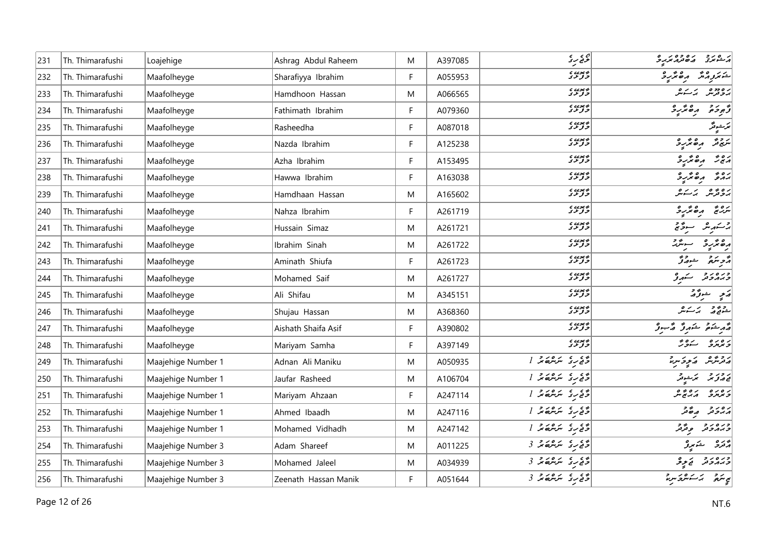| 231 | Th. Thimarafushi | Loajehige          | Ashrag Abdul Raheem  | M           | A397085 | ہ ۽ ري<br>حري                       | ر ور د ده ده در و<br>مشویری ماه مهرسمبرگ                                                                                                                                                                                    |
|-----|------------------|--------------------|----------------------|-------------|---------|-------------------------------------|-----------------------------------------------------------------------------------------------------------------------------------------------------------------------------------------------------------------------------|
| 232 | Th. Thimarafushi | Maafolheyge        | Sharafiyya Ibrahim   | F           | A055953 | په پور، ،<br>د تو نو د              | خوروه رەئزر                                                                                                                                                                                                                 |
| 233 | Th. Thimarafushi | Maafolheyge        | Hamdhoon Hassan      | M           | A066565 | په پور، ،<br>د تو نو د              | رەددە برىر                                                                                                                                                                                                                  |
| 234 | Th. Thimarafushi | Maafolheyge        | Fathimath Ibrahim    | F           | A079360 | ەيدى ،<br>تركرىر                    | ە ھەترىرى<br>وًموحة                                                                                                                                                                                                         |
| 235 | Th. Thimarafushi | Maafolheyge        | Rasheedha            | F.          | A087018 | ه مورد ،<br>ترکو تر                 | ىر<br>سىسىمىتى                                                                                                                                                                                                              |
| 236 | Th. Thimarafushi | Maafolheyge        | Nazda Ibrahim        | F           | A125238 | ه پون تا<br>تر تو تو ت              | ىر جەنگە<br>ەر ھەترىر 3<br>ر                                                                                                                                                                                                |
| 237 | Th. Thimarafushi | Maafolheyge        | Azha Ibrahim         | F.          | A153495 | په پور، ع<br>ترکو بو ب              | ە ھەترىرى<br>بەھەترىرى<br>رەپر                                                                                                                                                                                              |
| 238 | Th. Thimarafushi | Maafolheyge        | Hawwa Ibrahim        | $\mathsf F$ | A163038 | په پور، ،<br>ترکو لر ی              | ە ھەترىرى<br>بەھەترىرى<br>رە بە<br>بەد ئ                                                                                                                                                                                    |
| 239 | Th. Thimarafushi | Maafolheyge        | Hamdhaan Hassan      | M           | A165602 | ه مورد د<br><del>رگ</del> تو بو بر  | رەپ پەسكىر                                                                                                                                                                                                                  |
| 240 | Th. Thimarafushi | Maafolheyge        | Nahza Ibrahim        | F           | A261719 | په پور، ،<br>ترکو لر ی              | ەرھەترىر <sup>ى</sup><br>سرريخ                                                                                                                                                                                              |
| 241 | Th. Thimarafushi | Maafolheyge        | Hussain Simaz        | M           | A261721 | په پوه په<br><del>و</del> تو بو ب   | جر شکہ میں مقبض کے مقبض کے تعلیم کے تعلیم کے مقبض کے تعلیم کے مقبض کے مقبض کے مقبض کے مقبض کے مقبض کے مقب<br>مقبل مقبض کے مقبض کے مقبض کے مقبض کے مقبض کے مقبض کے مقبض کے مقبض کے مقبض کے مقبض کے مقبض کے مقبض کے مقبض کی ک |
| 242 | Th. Thimarafushi | Maafolheyge        | Ibrahim Sinah        | M           | A261722 | ەيدى ،<br>تركرىر                    |                                                                                                                                                                                                                             |
| 243 | Th. Thimarafushi | Maafolheyge        | Aminath Shiufa       | F           | A261723 | په پوه په<br><del>و</del> تو بو ب   | أأوسكم المستوفر                                                                                                                                                                                                             |
| 244 | Th. Thimarafushi | Maafolheyge        | Mohamed Saif         | M           | A261727 | په پور، ،<br>ترکو لر ی              | ورەرو سەرو                                                                                                                                                                                                                  |
| 245 | Th. Thimarafushi | Maafolheyge        | Ali Shifau           | M           | A345151 | ه پون تا<br>تر تو تو ت              | أوكمني المشوقرة                                                                                                                                                                                                             |
| 246 | Th. Thimarafushi | Maafolheyge        | Shujau Hassan        | M           | A368360 | ه مورد ،<br><del>وگ</del> و و       | ے پی پر کر کر کر                                                                                                                                                                                                            |
| 247 | Th. Thimarafushi | Maafolheyge        | Aishath Shaifa Asif  | F.          | A390802 | ه مورد د<br><del>رگ</del> تو بو بر  | لأرشكم شررؤ الأجوز                                                                                                                                                                                                          |
| 248 | Th. Thimarafushi | Maafolheyge        | Mariyam Samha        | F           | A397149 | ه پون تا<br>تر تو تو ت              | رەرە بەەپ                                                                                                                                                                                                                   |
| 249 | Th. Thimarafushi | Maajehige Number 1 | Adnan Ali Maniku     | M           | A050935 | $\frac{1}{1}$ وم دان کا دیکھیے کے ا | ە ئەر ئىگە ئە ئەر ئەر ئار                                                                                                                                                                                                   |
| 250 | Th. Thimarafushi | Maajehige Number 1 | Jaufar Rasheed       | M           | A106704 | دی دی تر مرکز دی                    | ر در د<br>ق <i>مگ</i> ۇنمى ئىمىشىمى                                                                                                                                                                                         |
| 251 | Th. Thimarafushi | Maajehige Number 1 | Mariyam Ahzaan       | F           | A247114 | وی دی مرکز میکند 1                  | ىرە بۇ ھ<br>ر ه ر ه<br><del>ر</del> بربرگ                                                                                                                                                                                   |
| 252 | Th. Thimarafushi | Maajehige Number 1 | Ahmed Ibaadh         | M           | A247116 | وی و مرکز میکند ا                   | גם ג' ביישוב<br>הגבת ביישוב                                                                                                                                                                                                 |
| 253 | Th. Thimarafushi | Maajehige Number 1 | Mohamed Vidhadh      | M           | A247142 | قىم ئەسكى ئەسكە                     | وره رو وو.<br>وبردونر وترتر                                                                                                                                                                                                 |
| 254 | Th. Thimarafushi | Maajehige Number 3 | Adam Shareef         | M           | A011225 | د ځ کړه کمر ټوله کال د 3            | پر ده شکړو<br>م <sup>عرف</sup> شکړو                                                                                                                                                                                         |
| 255 | Th. Thimarafushi | Maajehige Number 3 | Mohamed Jaleel       | M           | A034939 | وی دی مرکز تھی 3                    | ورەر <del>د</del> ك <sub>ې</sub> چى                                                                                                                                                                                         |
| 256 | Th. Thimarafushi | Maajehige Number 3 | Zeenath Hassan Manik | F           | A051644 | دی دی مرکز تھے تھ 3                 | ى ئىكتى ئەسكەنگە ئىرىد                                                                                                                                                                                                      |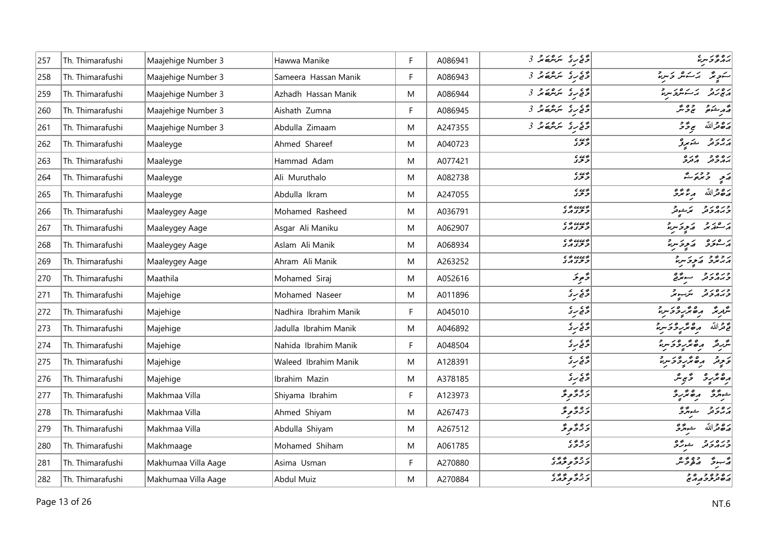| 257 | Th. Thimarafushi | Maajehige Number 3  | Hawwa Manike          | F         | A086941 | وَمَعْ رِیْ سَرْسُرْہَ مِنْ 3            | پروڅو سربا                                                                                                                                                                                                                       |
|-----|------------------|---------------------|-----------------------|-----------|---------|------------------------------------------|----------------------------------------------------------------------------------------------------------------------------------------------------------------------------------------------------------------------------------|
| 258 | Th. Thimarafushi | Maajehige Number 3  | Sameera Hassan Manik  | F         | A086943 | دی سی سر شهر دی از                       | سكوبكر أيرسكس كرسرة                                                                                                                                                                                                              |
| 259 | Th. Thimarafushi | Maajehige Number 3  | Azhadh Hassan Manik   | M         | A086944 | د ځ کې د سرسره تر 3                      | رەرو برے مركبة                                                                                                                                                                                                                   |
| 260 | Th. Thimarafushi | Maajehige Number 3  | Aishath Zumna         | F         | A086945 | ئۇيرى ئىر ئىھە ئىكى 3                    | و در ده ده در در در کلی برگزار در کلی کلی در در کلی در کلی در کلی در کلی در کلی در کلی در کلی در کلی در کلی در<br>در کلی در کلی در کلی در کلی در کلی در کلی در کلی در کلی در کلی در کلی در کلی در کلی در کلی در کلی در کلی در کل |
| 261 | Th. Thimarafushi | Maajehige Number 3  | Abdulla Zimaam        | M         | A247355 | وی دی در مرکز د                          | أرة قرالله بإرمح                                                                                                                                                                                                                 |
| 262 | Th. Thimarafushi | Maaleyge            | Ahmed Shareef         | M         | A040723 | یون تا<br>مرمو ت                         | پرورو شمیرو                                                                                                                                                                                                                      |
| 263 | Th. Thimarafushi | Maaleyge            | Hammad Adam           | M         | A077421 | ە يە ،<br>ترمو ،                         | ره پر پره<br>بربروتر برترو                                                                                                                                                                                                       |
| 264 | Th. Thimarafushi | Maaleyge            | Ali Muruthalo         | ${\sf M}$ | A082738 | ە يە ي<br>ترىخرى                         | $\frac{2}{3}$                                                                                                                                                                                                                    |
| 265 | Th. Thimarafushi | Maaleyge            | Abdulla Ikram         | M         | A247055 | ە يە ي<br>ترىخرى                         | رە قراللە مەمرى                                                                                                                                                                                                                  |
| 266 | Th. Thimarafushi | Maaleygey Aage      | Mohamed Rasheed       | M         | A036791 | ه عن عده عده<br><del>و</del> مو بو مد بو | 7,0,00 كر شوتر<br><i>7,0,00 كر</i> شوتر                                                                                                                                                                                          |
| 267 | Th. Thimarafushi | Maaleygey Aage      | Asgar Ali Maniku      | M         | A062907 | ه عن عده عده ح<br>مرس عدد حد             | ג בוגל ה' בליטי                                                                                                                                                                                                                  |
| 268 | Th. Thimarafushi | Maaleygey Aage      | Aslam Ali Manik       | M         | A068934 | ه c برده و c<br><del>د</del> نو c x د    | كالمستوفى الكافية والمرار                                                                                                                                                                                                        |
| 269 | Th. Thimarafushi | Maaleygey Aage      | Ahram Ali Manik       | M         | A263252 | ه c برده و c<br><del>د</del> نو c x د    | גישב הַבְּבֹיתֵי                                                                                                                                                                                                                 |
| 270 | Th. Thimarafushi | Maathila            | Mohamed Siraj         | M         | A052616 | ۇ ئەبۇ                                   | و ر ه ر د<br>تر پر تر تر<br>سىرتىرقى                                                                                                                                                                                             |
| 271 | Th. Thimarafushi | Majehige            | Mohamed Naseer        | M         | A011896 | یز ی<br>ترقع سر تر                       | ورەرو شەيدۇ.                                                                                                                                                                                                                     |
| 272 | Th. Thimarafushi | Majehige            | Nadhira Ibrahim Manik | F         | A045010 | ېږي <sub>د پ</sub> ه<br>د ه              | رەپر دې<br>دەبر دېر<br>ىترىرىتر                                                                                                                                                                                                  |
| 273 | Th. Thimarafushi | Majehige            | Jadulla Ibrahim Manik | M         | A046892 | یز ہے<br>ترقی <i>ع س</i> ر ت             | ە ھەمەر 25 سرىد<br>تج تر اللّه                                                                                                                                                                                                   |
| 274 | Th. Thimarafushi | Majehige            | Nahida Ibrahim Manik  | F.        | A048504 | ی ء<br>ترقع سر تر                        | ە ھەترىر 3 دىرىد<br>رەھ ترىر 3 دىرىد<br>مرَّرِ قَرْ                                                                                                                                                                              |
| 275 | Th. Thimarafushi | Majehige            | Waleed Ibrahim Manik  | M         | A128391 | ی ء ر ء<br>ترقع سر تر                    | ءَ وِتر                                                                                                                                                                                                                          |
| 276 | Th. Thimarafushi | Majehige            | Ibrahim Mazin         | M         | A378185 | پرې دي<br>  پرې کورنۍ                    | ۇ يې بىر<br>ە ھەترىر <sup>ە</sup>                                                                                                                                                                                                |
| 277 | Th. Thimarafushi | Makhmaa Villa       | Shiyama Ibrahim       | F         | A123973 | ۇرْدۇرۇ                                  | شودگر گر<br>ە ھەترىرى<br>برھ ترىرى                                                                                                                                                                                               |
| 278 | Th. Thimarafushi | Makhmaa Villa       | Ahmed Shiyam          | M         | A267473 | ۇزۇ <sub>ھ</sub> ۇ                       | پروژو<br>شەدگرى                                                                                                                                                                                                                  |
| 279 | Th. Thimarafushi | Makhmaa Villa       | Abdulla Shiyam        | M         | A267512 | ئەر ئۇ ئۇ                                | شەدگرى<br>صصرالله                                                                                                                                                                                                                |
| 280 | Th. Thimarafushi | Makhmaage           | Mohamed Shiham        | M         | A061785 | ر ه و ،<br><del>د</del> ژو               | ورەر دىمۇ                                                                                                                                                                                                                        |
| 281 | Th. Thimarafushi | Makhumaa Villa Aage | Asima Usman           | F         | A270880 | ر و و پرو ،<br>د زگروگر                  | چە ئە چەر<br>رمج سبزقر                                                                                                                                                                                                           |
| 282 | Th. Thimarafushi | Makhumaa Villa Aage | <b>Abdul Muiz</b>     | M         | A270884 | ى <i>ز د څو څ</i> رند                    | ג ם כ ם כ<br>גם ב ב ב ה ג ב                                                                                                                                                                                                      |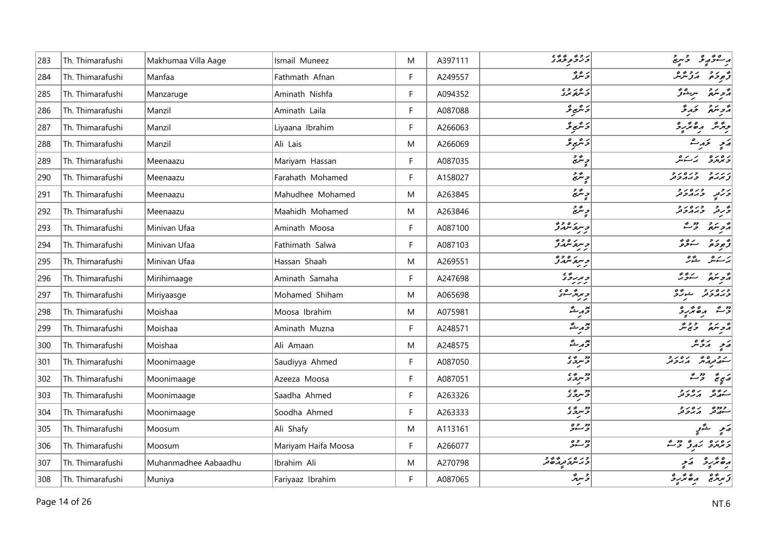| 283 | Th. Thimarafushi | Makhumaa Villa Aage  | Ismail Muneez       | ${\sf M}$ | A397111 | ر و و و و و ،<br>د رگورگ                 | وستوفي وسيم                                           |
|-----|------------------|----------------------|---------------------|-----------|---------|------------------------------------------|-------------------------------------------------------|
| 284 | Th. Thimarafushi | Manfaa               | Fathmath Afnan      | F         | A249557 | ىز شرىچ                                  | ژ <sub>بوخ</sub> و پروتربر                            |
| 285 | Th. Thimarafushi | Manzaruge            | Aminath Nishfa      | F         | A094352 | ر ہ ر د ،<br>تر سرپی سری                 | أردينهم<br>سرىشىۋە<br>س                               |
| 286 | Th. Thimarafushi | Manzil               | Aminath Laila       | F         | A087088 | ئەشرىر ۋ                                 | خەرى                                                  |
| 287 | Th. Thimarafushi | Manzil               | Liyaana Ibrahim     | F         | A266063 | ئەشىرو                                   | ا پرېژنېژ<br>پ<br>ڔۛؗۄؠؙڒڔ                            |
| 288 | Th. Thimarafushi | Manzil               | Ali Lais            | M         | A266069 | ئەمپرى <sub>ۋ</sub>                      | ە ئەرب                                                |
| 289 | Th. Thimarafushi | Meenaazu             | Mariyam Hassan      | F         | A087035 | حريثر فلمح                               | ر ه ر ه<br><del>ر</del> بربرو<br>برسەمىر              |
| 290 | Th. Thimarafushi | Meenaazu             | Farahath Mohamed    | F         | A158027 | حريثر فلمح                               | و ره ر د<br>تر <i>پر</i> وتر<br>ىر بەر جە<br>تونىرىدى |
| 291 | Th. Thimarafushi | Meenaazu             | Mahudhee Mohamed    | ${\sf M}$ | A263845 | حریثر تح                                 | د د د د د د د                                         |
| 292 | Th. Thimarafushi | Meenaazu             | Maahidh Mohamed     | M         | A263846 | حريثرج                                   | و دره دره د                                           |
| 293 | Th. Thimarafushi | Minivan Ufaa         | Aminath Moosa       | F         | A087100 | وسۇشمۇ                                   | أأروسه<br>ديو مشر                                     |
| 294 | Th. Thimarafushi | Minivan Ufaa         | Fathimath Salwa     | F         | A087103 | د سو شمېر ژ                              | و مرد د<br>تر مور مو<br>سەۋەتە                        |
| 295 | Th. Thimarafushi | Minivan Ufaa         | Hassan Shaah        | ${\sf M}$ | A269551 | وسەتمەتر                                 | بركتاش القارح                                         |
| 296 | Th. Thimarafushi | Mirihimaage          | Aminath Samaha      | F         | A247698 | او بوروی<br>او بوروی                     | سەپەير<br>أرمز                                        |
| 297 | Th. Thimarafushi | Miriyaasge           | Mohamed Shiham      | M         | A065698 | ا دېروگروي<br><u>پ</u>                   | ورەرو ھورو                                            |
| 298 | Th. Thimarafushi | Moishaa              | Moosa Ibrahim       | M         | A075981 | تزمريحه                                  | $rac{1}{2}$                                           |
| 299 | Th. Thimarafushi | Moishaa              | Aminath Muzna       | F         | A248571 | قەرىقە                                   | أزويته وحيثر                                          |
| 300 | Th. Thimarafushi | Moishaa              | Ali Amaan           | M         | A248575 | خرمشه                                    | أەيج أماڭ بىر                                         |
| 301 | Th. Thimarafushi | Moonimaage           | Saudiyya Ahmed      | F         | A087050 | دو په په<br>د سرچ د                      | הכנית הבית                                            |
| 302 | Th. Thimarafushi | Moonimaage           | Azeeza Moosa        | F         | A087051 | חי<br>קייקבצ                             | أرجاح وحمش                                            |
| 303 | Th. Thimarafushi | Moonimaage           | Saadha Ahmed        | F         | A263326 | חי<br>קייקבצ                             | ر دی در دورد                                          |
| 304 | Th. Thimarafushi | Moonimaage           | Soodha Ahmed        | F         | A263333 | دو په په<br>تر سرچر                      | ر دود بر<br>سوړ تو<br>ەرەر                            |
| 305 | Th. Thimarafushi | Moosum               | Ali Shafy           | ${\sf M}$ | A113161 | دد وه                                    | رَمِ شَرْرٍ                                           |
| 306 | Th. Thimarafushi | Moosum               | Mariyam Haifa Moosa | F         | A266077 | دد وه                                    |                                                       |
| 307 | Th. Thimarafushi | Muhanmadhee Aabaadhu | Ibrahim Ali         | M         | A270798 | و ر ه ر ر پر پر و<br>د بر سرچ تر پر ص تر | ە ھەترىر <sup>ە</sup>                                 |
| 308 | Th. Thimarafushi | Muniya               | Fariyaaz Ibrahim    | F         | A087065 | د سرگر                                   |                                                       |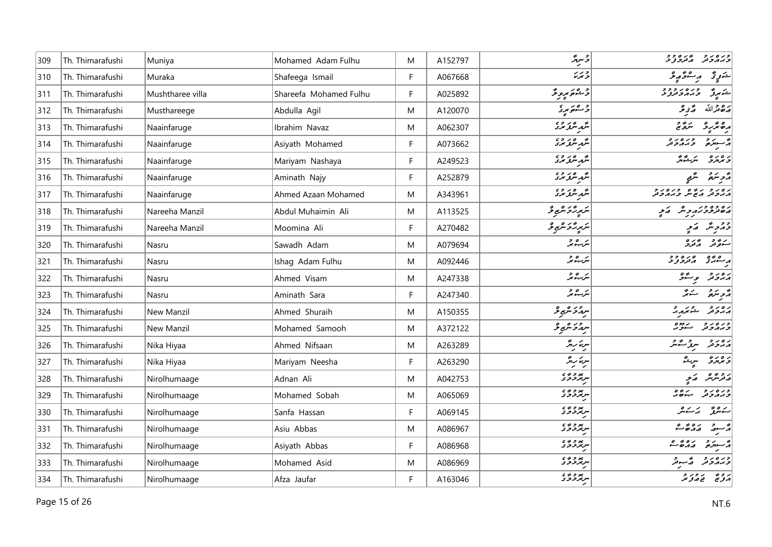| 309   | Th. Thimarafushi | Muniya           | Mohamed Adam Fulhu     | M         | A152797 | دسر                         | כנסנכ בנסכב<br>כגמכת התכנת                         |
|-------|------------------|------------------|------------------------|-----------|---------|-----------------------------|----------------------------------------------------|
| 310   | Th. Thimarafushi | Muraka           | Shafeega Ismail        | F         | A067668 | ويرز                        | برىشۇپەيۋ<br>  شَوَرٍ تَرُ                         |
| 311   | Th. Thimarafushi | Mushtharee villa | Shareefa Mohamed Fulhu | F         | A025892 | ژىشۇ ئېر <sub>ى</sub> رىگە  | ورەر دود<br>تەئەر تەرىخ<br>شەمرۇگە<br>ئە           |
| $312$ | Th. Thimarafushi | Musthareege      | Abdulla Agil           | M         | A120070 | د صمر سر<br>په سره کمېږي    | ة صرالله<br>ەرتى بى                                |
| 313   | Th. Thimarafushi | Naainfaruge      | Ibrahim Navaz          | M         | A062307 | <br> سرم سرور در در         | پر دی <sub>ج</sub><br>سرچ مح<br>ەر ھەترىر <i>2</i> |
| 314   | Th. Thimarafushi | Naainfaruge      | Asiyath Mohamed        | F         | A073662 | مگر مگر کرد د <sup>ی</sup>  | پر مسرو<br>م<br>و رە ر د<br>تر پروتر               |
| 315   | Th. Thimarafushi | Naainfaruge      | Mariyam Nashaya        | F         | A249523 | مگر شو کر د ،<br>مگر شو کرد | ر ه ر ه<br><del>د</del> بربرگر<br>سَرَڪْرَبَرُ     |
| 316   | Th. Thimarafushi | Naainfaruge      | Aminath Najy           | F         | A252879 | شمە بىرىدى<br>سىمە ئىسىم    | أأترجع تتمعي                                       |
| 317   | Th. Thimarafushi | Naainfaruge      | Ahmed Azaan Mohamed    | ${\sf M}$ | A343961 | شمە بىرى ج                  | גם גם האם כגם גב<br>הגבת האית בגהכת                |
| 318   | Th. Thimarafushi | Nareeha Manzil   | Abdul Muhaimin Ali     | ${\sf M}$ | A113525 | برَبِرِرَّدَ تَرْبِح وْ     | גם כם כנתבית הב                                    |
| 319   | Th. Thimarafushi | Nareeha Manzil   | Moomina Ali            | F         | A270482 | ىئە <i>پر ئەڭ ئىلى</i> ر ق  | دو پر ړې                                           |
| 320   | Th. Thimarafushi | Nasru            | Sawadh Adam            | M         | A079694 | ىئەبەيىتى                   | ر د و د وره                                        |
| 321   | Th. Thimarafushi | Nasru            | Ishag Adam Fulhu       | M         | A092446 | ىئەبەيىتى                   | د ه په په دود                                      |
| 322   | Th. Thimarafushi | Nasru            | Ahmed Visam            | ${\sf M}$ | A247338 | ىر رە ج                     | بره رو و شوه                                       |
| 323   | Th. Thimarafushi | Nasru            | Aminath Sara           | F         | A247340 | ىر مە ج                     | ۇ ئەسىر ئىسىسىسى ئىسىر                             |
| 324   | Th. Thimarafushi | New Manzil       | Ahmed Shuraih          | M         | A150355 | سرد د شریحه د               | رەرو شىر                                           |
| 325   | Th. Thimarafushi | New Manzil       | Mohamed Samooh         | M         | A372122 | سرد ئەھبىر ئە               | وره رو دوه<br><i>د پرو</i> تر سوړ                  |
| 326   | Th. Thimarafushi | Nika Hiyaa       | Ahmed Nifsaan          | M         | A263289 | سرىئە سەنتىر                | رەرد سرگەش                                         |
| 327   | Th. Thimarafushi | Nika Hiyaa       | Mariyam Neesha         | F         | A263290 | سرىئە سەنتىر                | ر ہ ر ہ<br><del>ر</del> بربر ژ<br>سريسَّہُ         |
| 328   | Th. Thimarafushi | Nirolhumaage     | Adnan Ali              | M         | A042753 | استروده                     | ر د پرې کرم                                        |
| 329   | Th. Thimarafushi | Nirolhumaage     | Mohamed Sobah          | M         | A065069 | سرپر و و ی<br>سرپر رقم و    | وره رو دره و                                       |
| 330   | Th. Thimarafushi | Nirolhumaage     | Sanfa Hassan           | F         | A069145 | بربردي                      | ستائر پر بر تر شاہر                                |
| 331   | Th. Thimarafushi | Nirolhumaage     | Asiu Abbas             | M         | A086967 | بر بر و د  ب<br>سربر د تر ی | $2801 - 7 - 7$                                     |
| 332   | Th. Thimarafushi | Nirolhumaage     | Asiyath Abbas          | F         | A086968 | بر د و د د<br>سربر د و د    |                                                    |
| 333   | Th. Thimarafushi | Nirolhumaage     | Mohamed Asid           | M         | A086969 | سرپر و و ی<br>سرپر رقم و    | כנסנכ בהיב                                         |
| 334   | Th. Thimarafushi | Nirolhumaage     | Afza Jaufar            | F         | A163046 | لبرچوده و                   | پروژ دی کر                                         |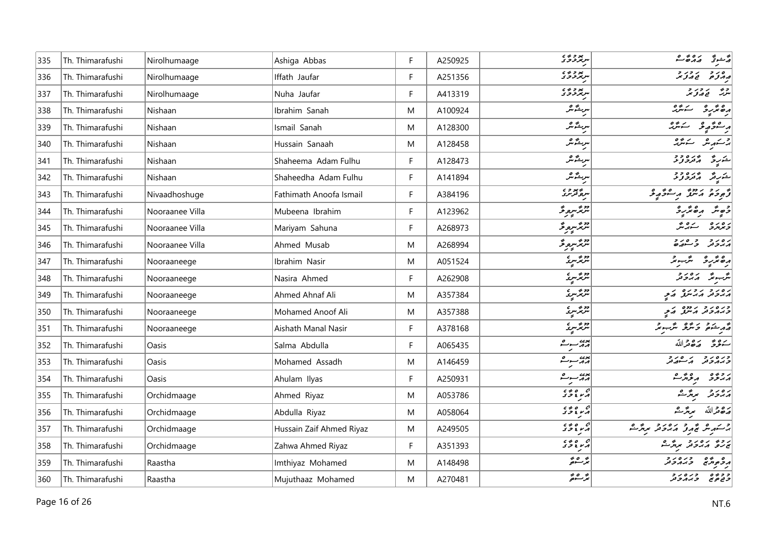| 335 | Th. Thimarafushi | Nirolhumaage    | Ashiga Abbas             | F.          | A250925 | بر بر و د  بر<br>سرپورتو  ی | 250/<br>  پُرْڪونَّرُ<br> -                       |
|-----|------------------|-----------------|--------------------------|-------------|---------|-----------------------------|---------------------------------------------------|
| 336 | Th. Thimarafushi | Nirolhumaage    | Iffath Jaufar            | F           | A251356 | بر و و و ،<br>سربوبو و      | د ه د د د د د د                                   |
| 337 | Th. Thimarafushi | Nirolhumaage    | Nuha Jaufar              | F           | A413319 | سرپروژی                     | ده دور د<br>سرگ فهرنو پر                          |
| 338 | Th. Thimarafushi | <b>Nishaan</b>  | Ibrahim Sanah            | M           | A100924 | سرىشەشر                     | 5, 20, 0<br>سەيىر                                 |
| 339 | Th. Thimarafushi | Nishaan         | Ismail Sanah             | M           | A128300 | اسریشمبر<br>پ               | ىر سى <i>ۋە</i> پەتر<br>سەتەر                     |
| 340 | Th. Thimarafushi | Nishaan         | Hussain Sanaah           | M           | A128458 | اسريقيقر                    | برسكريش سكندها                                    |
| 341 | Th. Thimarafushi | Nishaan         | Shaheema Adam Fulhu      | F           | A128473 | سرىشەشر                     | شَرِرَة الْمَعْرَفُرُونَدُ                        |
| 342 | Th. Thimarafushi | Nishaan         | Shaheedha Adam Fulhu     | F.          | A141894 | سرىشەشر                     | شەرىتى ئەتەرە دو                                  |
| 343 | Th. Thimarafushi | Nivaadhoshuge   | Fathimath Anoofa Ismail  | F.          | A384196 | ر پر د د ،<br>سرچ تر سر پر  | ژُودَهُ مَتْرٌ مِــْدَّهُ وُ                      |
| 344 | Th. Thimarafushi | Nooraanee Villa | Mubeena Ibrahim          | $\mathsf F$ | A123962 | يز پر<br>سر پر سره مر       | دەش مەمزىر                                        |
| 345 | Th. Thimarafushi | Nooraanee Villa | Mariyam Sahuna           | F           | A268973 | يز پژ <sub>سوم</sub> و څه   | رەرە بەھەر                                        |
| 346 | Th. Thimarafushi | Nooraanee Villa | Ahmed Musab              | M           | A268994 | دور<br>مربر سره مر          | ره ده ده ده                                       |
| 347 | Th. Thimarafushi | Nooraaneege     | Ibrahim Nasir            | M           | A051524 | دوره<br>متر پنر سرچ         | رەنزىر ئىسىز                                      |
| 348 | Th. Thimarafushi | Nooraaneege     | Nasira Ahmed             | F           | A262908 | دور محمد<br>مرتكز سريد      | شب برورد                                          |
| 349 | Th. Thimarafushi | Nooraaneege     | Ahmed Ahnaf Ali          | M           | A357384 | دور محمد<br>مرتكز سريد      | رەرە رورە كەير                                    |
| 350 | Th. Thimarafushi | Nooraaneege     | Mohamed Anoof Ali        | M           | A357388 | دو په په<br>مربر سړي        | כנים ניכן בית הת                                  |
| 351 | Th. Thimarafushi | Nooraaneege     | Aishath Manal Nasir      | F.          | A378168 | دو پر<br>سربر سرپر          | أورشني وترو ترجر                                  |
| 352 | Th. Thimarafushi | Oasis           | Salma Abdulla            | F           | A065435 | لحميمية                     | يَدْوَى مَرْهُ قَرْاللَّهُ                        |
| 353 | Th. Thimarafushi | Oasis           | Mohamed Assadh           | M           | A146459 | جەنبەر                      | כנסנכ גםנכ<br>כגתכנג ה'-יתנג                      |
| 354 | Th. Thimarafushi | Oasis           | Ahulam Ilyas             | F           | A250931 | جەيبەر                      | ړ ده وه ده ک                                      |
| 355 | Th. Thimarafushi | Orchidmaage     | Ahmed Riyaz              | M           | A053786 |                             | رەرد پەر                                          |
| 356 | Th. Thimarafushi | Orchidmaage     | Abdulla Riyaz            | M           | A058064 |                             | رەت <sub>د</sub> اللە مەرگە                       |
| 357 | Th. Thimarafushi | Orchidmaage     | Hussain Zaif Ahmed Riyaz | M           | A249505 |                             | برسكر على المرور المراكب المراكب                  |
| 358 | Th. Thimarafushi | Orchidmaage     | Zahwa Ahmed Riyaz        | F           | A351393 | ه موء دي<br>مربو دي         | ر وه رور و بروت                                   |
| 359 | Th. Thimarafushi | Raastha         | Imthiyaz Mohamed         | M           | A148498 | پۇ رەپۇ                     |                                                   |
| 360 | Th. Thimarafushi | Raastha         | Mujuthaaz Mohamed        | M           | A270481 | پۇ رەپۇ                     | و ر ه ر د<br>تر پر پر تر<br>و و پر ه<br>تر محر مح |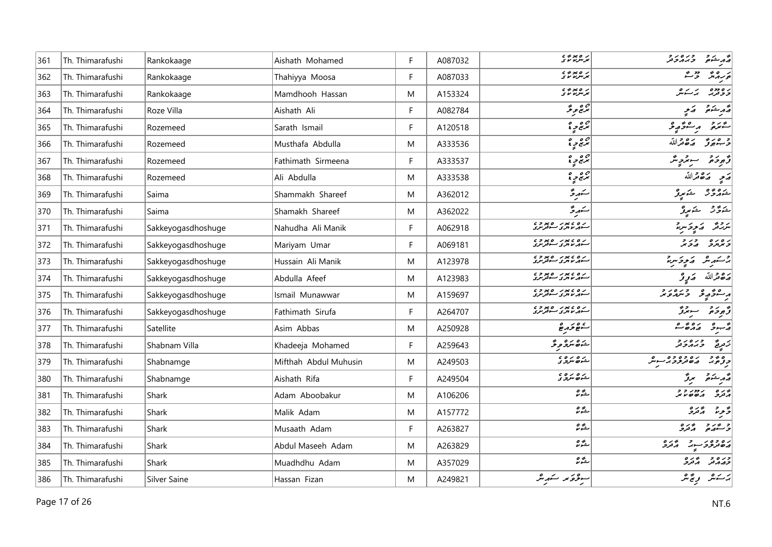| 361 | Th. Thimarafushi | Rankokaage          | Aishath Mohamed       | F         | A087032 | ر ٥ × ٥ ي<br>برس د د د                                   | و رە ر د<br>تر پر تر تر<br>پھر دیکھیے<br>حداد سنگھی               |
|-----|------------------|---------------------|-----------------------|-----------|---------|----------------------------------------------------------|-------------------------------------------------------------------|
| 362 | Th. Thimarafushi | Rankokaage          | Thahiyya Moosa        | F         | A087033 | ر ۲۵ پر دی<br>برس را ر                                   | ەرەپە<br>دريجه                                                    |
| 363 | Th. Thimarafushi | Rankokaage          | Mamdhooh Hassan       | M         | A153324 | ر ٥ × ٥ ء<br>برس را ر                                    | ر ه دوه<br>تر تر بر<br>برسەمىر                                    |
| 364 | Th. Thimarafushi | Roze Villa          | Aishath Ali           | F         | A082784 | ە ە<br>ئىرىج ھ <sub>ى</sub> م                            | و مرکز شور<br>مرکز شور<br>ەتىر                                    |
| 365 | Th. Thimarafushi | Rozemeed            | Sarath Ismail         | F         | A120518 | 0 ء ۾ ج<br>مربح ح <sub>ي</sub> ء                         | شەبر د<br>ەرسىۋەپەي                                               |
| 366 | Th. Thimarafushi | Rozemeed            | Musthafa Abdulla      | M         | A333536 | ە ە<br>ئىرىنى جەنج                                       | ەھىراللە<br>د په پورځ<br>پرېبونو                                  |
| 367 | Th. Thimarafushi | Rozemeed            | Fathimath Sirmeena    | F         | A333537 | می حر ہ<br>  سی حر ہ                                     | ژَهِ دَهُ مَسْسِمَةٍ مَّرْ                                        |
| 368 | Th. Thimarafushi | Rozemeed            | Ali Abdulla           | M         | A333538 |                                                          | أضعي ضكاه تمالله                                                  |
| 369 | Th. Thimarafushi | Saima               | Shammakh Shareef      | ${\sf M}$ | A362012 | ستهرقر                                                   | ر ده و و.<br>خوړ ژ ژ<br>شەمرۇ                                     |
| 370 | Th. Thimarafushi | Saima               | Shamakh Shareef       | ${\sf M}$ | A362022 | سەرىچ                                                    | شۇڭز شېرۇ                                                         |
| 371 | Th. Thimarafushi | Sakkeyogasdhoshuge  | Nahudha Ali Manik     | F         | A062918 | ر ۲۵ پر در ۲۵ پر و ۲<br>سوډ <i>ر پر در</i> د             | يرد قر مركز يره                                                   |
| 372 | Th. Thimarafushi | Sakkeyogasdhoshuge  | Mariyam Umar          | F         | A069181 | ر ۲۵ پر بر ۲۵ و ۶<br>سودر بو بر کرد سوفر برو             | و ر و<br>در د بر<br>ر ه ر ه<br><del>د</del> بربرگر                |
| 373 | Th. Thimarafushi | Sakkeyogasdhoshuge  | Hussain Ali Manik     | ${\sf M}$ | A123978 | ر ۲۵ پر بر ۲۵ و ۶<br>سودر بو برگ سوتورن                  | برحتهاش كالموكاسرة                                                |
| 374 | Th. Thimarafushi | Sakkeyogasdhoshuge  | Abdulla Afeef         | ${\sf M}$ | A123983 | ر ۲۵ پر بر ۲۵ و ۶<br>سودر بو بر کرد سوفر برو             | رە د <sub>الله م</sub> ر <sub>و</sub> و                           |
| 375 | Th. Thimarafushi | Sakkeyogasdhoshuge  | Ismail Munawwar       | ${\sf M}$ | A159697 | ر ۲۵ پر در ۲۵ پر و ۲<br>سوډ <i>ر پر در</i> د             | وحدود وسموس                                                       |
| 376 | Th. Thimarafushi | Sakkeyogasdhoshuge  | Fathimath Sirufa      | F         | A264707 | ر ۲۵ پر بر ۲۵ و ۶<br>سوا <i>ر بر بر</i> ی سوتو <i>ری</i> | قرموخرة سوبرقر                                                    |
| 377 | Th. Thimarafushi | Satellite           | Asim Abbas            | M         | A250928 | والمتحفظ وتحريرهم                                        | 2507<br>رمجي سبوحه                                                |
| 378 | Th. Thimarafushi | Shabnam Villa       | Khadeeja Mohamed      | F         | A259643 | شەھ سەۋ بە ئۇ                                            | و ره ر و<br><i>د ب</i> رگرفر<br>نزىرقى                            |
| 379 | Th. Thimarafushi | Shabnamge           | Mifthah Abdul Muhusin | ${\sf M}$ | A249503 | ر <i>ە</i> رە ،<br>شەھ سرچ <sub>ك</sub>                  | ە بۇ ج<br>جەنزى <i>م</i> ىر<br>ره وه وه به ما<br>پره تربرو بر سوش |
| 380 | Th. Thimarafushi | Shabnamge           | Aishath Rifa          | F         | A249504 | ر <i>ە</i> رە ،<br>شەھ سرچ <sub>ك</sub>                  | په مرشومو<br>درمشومو<br>بمرتز                                     |
| 381 | Th. Thimarafushi | Shark               | Adam Aboobakur        | M         | A106206 | ىشە                                                      | یور ہ<br>دگرو<br>77/77/                                           |
| 382 | Th. Thimarafushi | Shark               | Malik Adam            | M         | A157772 | يتجره                                                    | پھر ہ<br>مرمر تر<br>ۇيرىز                                         |
| 383 | Th. Thimarafushi | Shark               | Musaath Adam          | F         | A263827 | $\stackrel{\circ}{\mathcal{L}}$                          | و پەر د<br>پر ہ<br>مرکز                                           |
| 384 | Th. Thimarafushi | Shark               | Abdul Maseeh Adam     | ${\sf M}$ | A263829 | شەھ                                                      | ەگەتىرى<br>ره وه ر<br>پره ترڅر د په                               |
| 385 | Th. Thimarafushi | Shark               | Muadhdhu Adam         | M         | A357029 | شەھ                                                      | و ر ه د<br>تر <i>و</i> گر تر<br>پەر ە<br>مەنزۈ                    |
| 386 | Th. Thimarafushi | <b>Silver Saine</b> | Hassan Fizan          | M         | A249821 | سوثوثا براشم                                             | ىرىكىش بولچىش                                                     |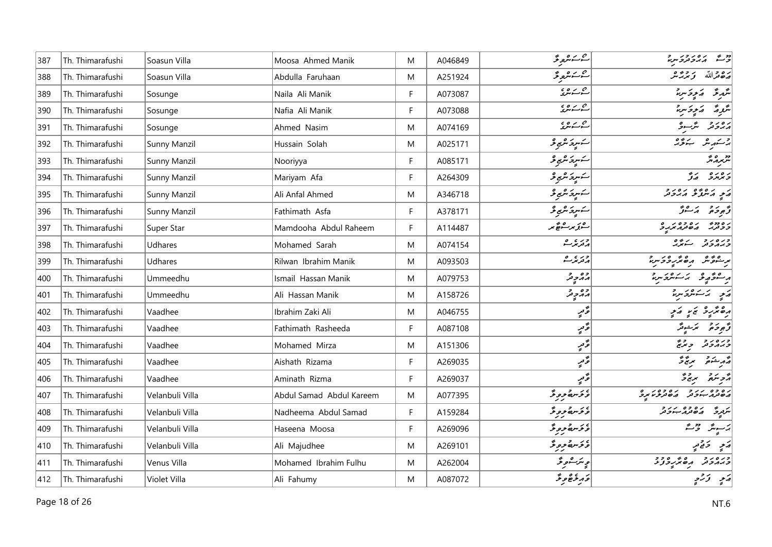| 387 | Th. Thimarafushi | Soasun Villa    | Moosa Ahmed Manik        | M  | A046849 | م مستقرم محمد<br>ا                      | כל המכנקבית                                         |
|-----|------------------|-----------------|--------------------------|----|---------|-----------------------------------------|-----------------------------------------------------|
| 388 | Th. Thimarafushi | Soasun Villa    | Abdulla Faruhaan         | M  | A251924 | <u>شر سەھرىم</u> ۇ                      | برە ترالله<br>ۇ ئرىژىتر                             |
| 389 | Th. Thimarafushi | Sosunge         | Naila Ali Manik          | F  | A073087 | تنكسكرها                                | لمثبر قالم وكالمحارثة                               |
| 390 | Th. Thimarafushi | Sosunge         | Nafia Ali Manik          | F  | A073088 | يشريره بمح                              | ستعرشه<br>ە ئېچە ئىبرىد                             |
| 391 | Th. Thimarafushi | Sosunge         | Ahmed Nasim              | M  | A074169 | <u>م ئەيۋە ي</u>                        | رەرو شەر                                            |
| 392 | Th. Thimarafushi | Sunny Manzil    | Hussain Solah            | M  | A025171 | سە <sub>سرى</sub> جە ش <sub>ەي</sub> ج  | جەسكىرىش سىۋېر                                      |
| 393 | Th. Thimarafushi | Sunny Manzil    | Nooriyya                 | F  | A085171 | سە <sub>سرى</sub> جە ش <sub>ەي</sub> جە | כבי מרי<br>התאמרית                                  |
| 394 | Th. Thimarafushi | Sunny Manzil    | Mariyam Afa              | F  | A264309 | ىكە يېرى <i>خ م</i> ېرىتى ئى            | و ده در و                                           |
| 395 | Th. Thimarafushi | Sunny Manzil    | Ali Anfal Ahmed          | M  | A346718 | سە <sub>سرى</sub> جە ئىرىي بى           | ړې په نوګه په ده د د                                |
| 396 | Th. Thimarafushi | Sunny Manzil    | Fathimath Asfa           | F  | A378171 | سە يېرى ئىرى <i>مى</i> ئى               | أزّوجو أراعق                                        |
| 397 | Th. Thimarafushi | Super Star      | Mamdooha Abdul Raheem    | F. | A114487 | 2 <sub>ن</sub> ۇ برىشقى بىر             | ג ס בב מי ה ס ב ס גם ה<br>ה כ ב ב גורי ה ש בג ה ב ב |
| 398 | Th. Thimarafushi | Udhares         | Mohamed Sarah            | M  | A074154 | ە ئەرىئە ھ                              | وره رو در ده<br>وبردونر سوپر                        |
| 399 | Th. Thimarafushi | Udhares         | Rilwan Ibrahim Manik     | M  | A093503 | د ر ، م<br>مرمر سه                      | رە ئەردىكىرە<br>رە ئەردىكىرىن<br>ىرىشەر ش           |
| 400 | Th. Thimarafushi | Ummeedhu        | Ismail Hassan Manik      | M  | A079753 | پر پر چر                                | وحدثوها المستراد المرادية                           |
| 401 | Th. Thimarafushi | Ummeedhu        | Ali Hassan Manik         | M  | A158726 | ده و تر<br>مرم و تر                     | أوسم بالمستور والمحمد                               |
| 402 | Th. Thimarafushi | Vaadhee         | Ibrahim Zaki Ali         | M  | A046755 | ر<br>ح مرٍ                              |                                                     |
| 403 | Th. Thimarafushi | Vaadhee         | Fathimath Rasheeda       | F. | A087108 | اء<br>حرمي                              | تزود كالمستوفر                                      |
| 404 | Th. Thimarafushi | Vaadhee         | Mohamed Mirza            | M  | A151306 | ر<br>حگمي                               | כנסנכ ביתי                                          |
| 405 | Th. Thimarafushi | Vaadhee         | Aishath Rizama           | F  | A269035 | ر<br>حومر                               | ائی <sub>م</sub> رشتون <sub>د</sub><br>مر<br>برج وٌ |
| 406 | Th. Thimarafushi | Vaadhee         | Aminath Rizma            | F  | A269037 | حٌسٍ                                    | הכיתה תגל                                           |
| 407 | Th. Thimarafushi | Velanbuli Villa | Abdul Samad Abdul Kareem | M  | A077395 | ة كوسة موه محر<br>مركز سقوم محر         | גם כם גגב גם כםגם<br>השנה-יכנג השנגל תב             |
| 408 | Th. Thimarafushi | Velanbuli Villa | Nadheema Abdul Samad     | F  | A159284 | ، ئەسھۇم ئەڭ                            |                                                     |
| 409 | Th. Thimarafushi | Velanbuli Villa | Haseena Moosa            | F  | A269096 | ە ئەسھىرە ئە                            | ائەسەپىر<br>___ ئەسىر                               |
| 410 | Th. Thimarafushi | Velanbuli Villa | Ali Majudhee             | M  | A269101 | ة كوسة مورغ<br>موسية مورغ               | پر په توسي                                          |
| 411 | Th. Thimarafushi | Venus Villa     | Mohamed Ibrahim Fulhu    | M  | A262004 | <sub>جە</sub> بئرىش <sub>ى</sub> رىگە   | כנסנב תפתחברב                                       |
| 412 | Th. Thimarafushi | Violet Villa    | Ali Fahumy               | M  | A087072 | وَرِدْعْ عِرْقَه                        | أة يحتمد وترجي                                      |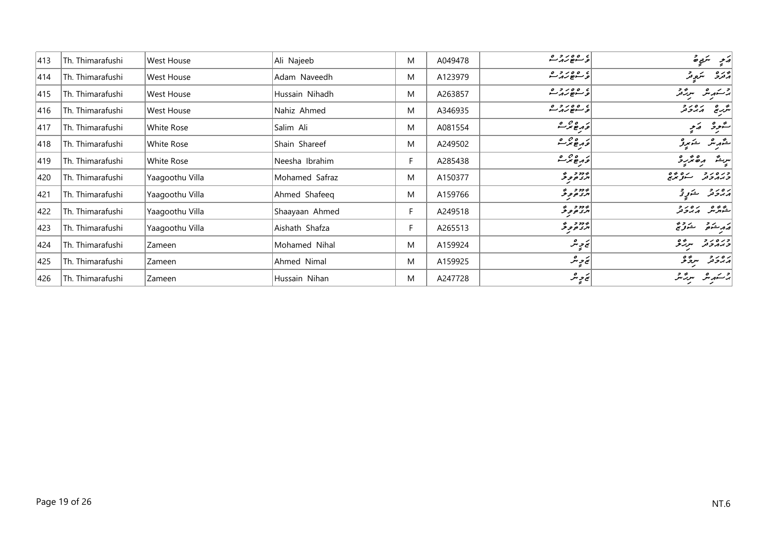| 413 | Th. Thimarafushi | <b>West House</b> | Ali Najeeb     | M | A049478 | ءِ <u>صورتر ص</u>                            | ړَ په سَرَمٍ صَ                                          |
|-----|------------------|-------------------|----------------|---|---------|----------------------------------------------|----------------------------------------------------------|
| 414 | Th. Thimarafushi | West House        | Adam Naveedh   | M | A123979 | ء صوبر دی <sub>ر</sub><br> وسٹی <i>صدر</i> س | پر ره<br>  پر تر ژ<br>سكويتر                             |
| 415 | Th. Thimarafushi | <b>West House</b> | Hussain Nihadh | M | A263857 | ء مصوبر جمعہ م                               | جرىسە مىر<br>سررچمر                                      |
| 416 | Th. Thimarafushi | <b>West House</b> | Nahiz Ahmed    | M | A346935 | ې مەھ ئەجرىيە                                | برورو<br>متزرج                                           |
| 417 | Th. Thimarafushi | <b>White Rose</b> | Salim Ali      | M | A081554 | ئەرەم بىر<br>  ئەرەم بىر م                   | ستمعرش<br>رځمني                                          |
| 418 | Th. Thimarafushi | <b>White Rose</b> | Shain Shareef  | M | A249502 | ئەمرىقىمى <sup>م</sup>                       | ىشەرىش<br>شەمرىر                                         |
| 419 | Th. Thimarafushi | <b>White Rose</b> | Neesha Ibrahim | F | A285438 | ئەرەم ئەر                                    | ەھ ئۈرۈ<br>اسریشہ<br>تو                                  |
| 420 | Th. Thimarafushi | Yaagoothu Villa   | Mohamed Safraz | M | A150377 | پردو و<br>بری می و تخر                       | و ره ر د<br><i>و بر</i> د تر<br>سەۋىترى                  |
| 421 | Th. Thimarafushi | Yaagoothu Villa   | Ahmed Shafeeq  | M | A159766 | پردو و ځ                                     | بروترو<br>شتكوتر                                         |
| 422 | Th. Thimarafushi | Yaagoothu Villa   | Shaayaan Ahmed | F | A249518 | پردو و<br>بری می و تخر                       | برورد<br>ڪرو <i>گر</i> شر                                |
| 423 | Th. Thimarafushi | Yaagoothu Villa   | Aishath Shafza | F | A265513 | پردو و<br>بری می و تخر                       | پر د شو د<br>شتوتر تج                                    |
| 424 | Th. Thimarafushi | Zameen            | Mohamed Nihal  | M | A159924 | $\circ$ $\sim$<br>تخرجيتر                    | و ر ه ر د<br>تربر پر تر<br>سررمو                         |
| 425 | Th. Thimarafushi | Zameen            | Ahmed Nimal    | M | A159925 | $\mathcal{O}$<br>  می حرید                   | پر ۱۹ پر د<br>$\mathcal{O} \subset \mathcal{O}$<br>سروفر |
| 426 | Th. Thimarafushi | Zameen            | Hussain Nihan  | M | A247728 | سے تر سر                                     | جرىسە مەشر<br>سررجمتر                                    |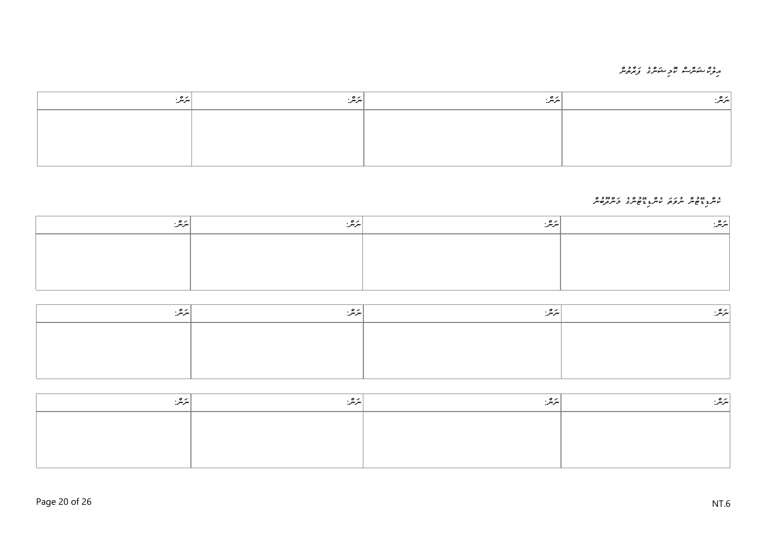## *w7qAn8m?sCw7mRo>u;wEw7mRw;sBo<*

| ' مرمر | 'يئرىثر: |
|--------|----------|
|        |          |
|        |          |
|        |          |

## *w7q9r@w7m>sCw7qHtFoFw7s;mAm=q7w7qHtFoFw7s;*

| يئرمىش: | $^{\circ}$<br>. سر سر<br>$\cdot$ | $\circ$ $\sim$<br>-- | يئرمثر |
|---------|----------------------------------|----------------------|--------|
|         |                                  |                      |        |
|         |                                  |                      |        |
|         |                                  |                      |        |

| يره | $^{\circ}$ | $\frac{2}{n}$ | $^{\circ}$<br>سرسر. |
|-----|------------|---------------|---------------------|
|     |            |               |                     |
|     |            |               |                     |
|     |            |               |                     |

| ىرتىر: | 。<br>سر سر | .,<br>مرسر |
|--------|------------|------------|
|        |            |            |
|        |            |            |
|        |            |            |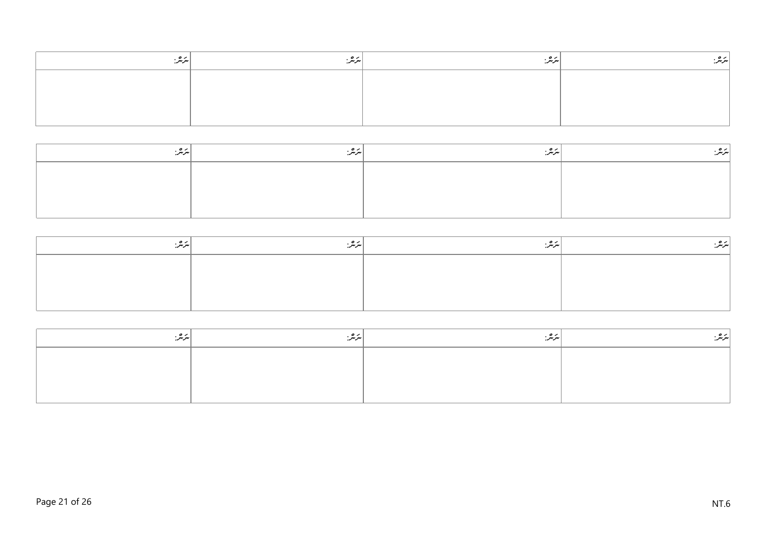| يره. | ο. | ا ير ه |  |
|------|----|--------|--|
|      |    |        |  |
|      |    |        |  |
|      |    |        |  |

| <sup>.</sup> سرسر. |  |
|--------------------|--|
|                    |  |
|                    |  |
|                    |  |

| ىئرىتر. | $\sim$ | ا بر هه. | لىرىش |
|---------|--------|----------|-------|
|         |        |          |       |
|         |        |          |       |
|         |        |          |       |

| 。<br>مرس. | $\overline{\phantom{a}}$<br>مر مىر | ىرىر |
|-----------|------------------------------------|------|
|           |                                    |      |
|           |                                    |      |
|           |                                    |      |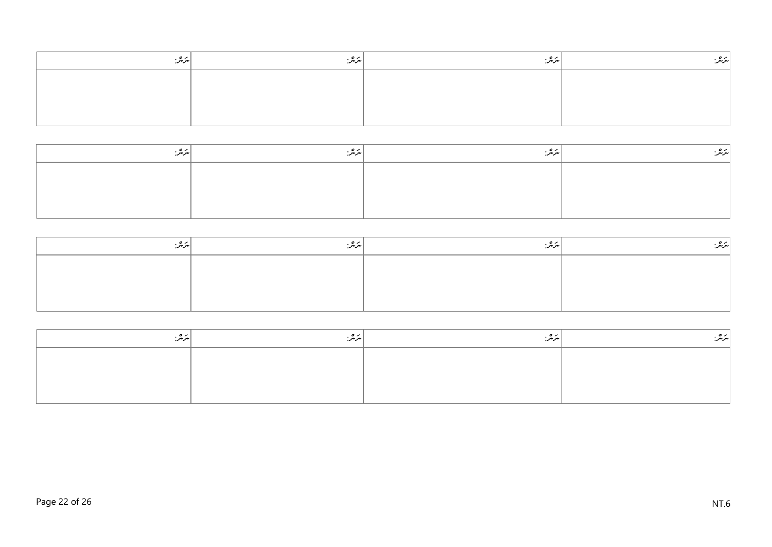| ير هو . | $\overline{\phantom{a}}$ | يرمر | اير هنه. |
|---------|--------------------------|------|----------|
|         |                          |      |          |
|         |                          |      |          |
|         |                          |      |          |

| ئىرتىر: | $\sim$<br>ا سرسر . | يئرمثر | o . |
|---------|--------------------|--------|-----|
|         |                    |        |     |
|         |                    |        |     |
|         |                    |        |     |

| 'تترنثر: | ر ه |  |
|----------|-----|--|
|          |     |  |
|          |     |  |
|          |     |  |

|  | . ه |
|--|-----|
|  |     |
|  |     |
|  |     |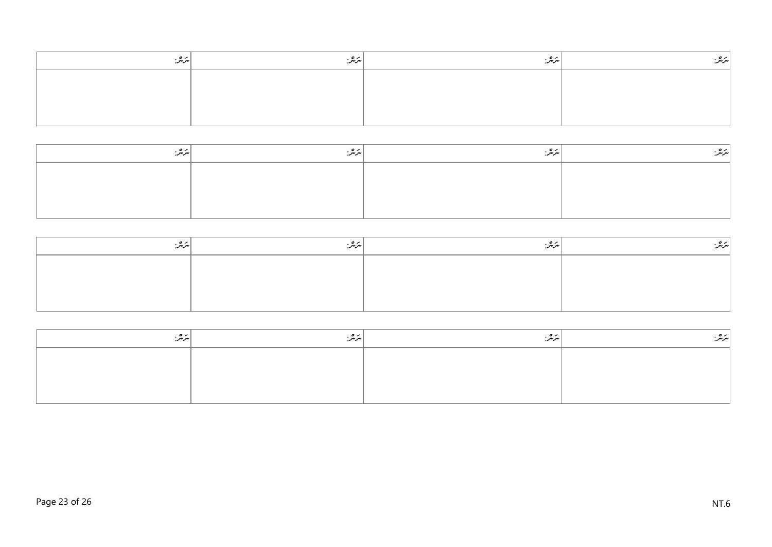| ير هو . | $\overline{\phantom{a}}$ | يرمر | اير هنه. |
|---------|--------------------------|------|----------|
|         |                          |      |          |
|         |                          |      |          |
|         |                          |      |          |

| ئىرتىر: | $\sim$<br>ا سرسر . | يئرمثر | o . |
|---------|--------------------|--------|-----|
|         |                    |        |     |
|         |                    |        |     |
|         |                    |        |     |

| الترنثر: | ' مرتكز: | الترنثر: | .,<br>سرسر. |
|----------|----------|----------|-------------|
|          |          |          |             |
|          |          |          |             |
|          |          |          |             |

|  | . ه |
|--|-----|
|  |     |
|  |     |
|  |     |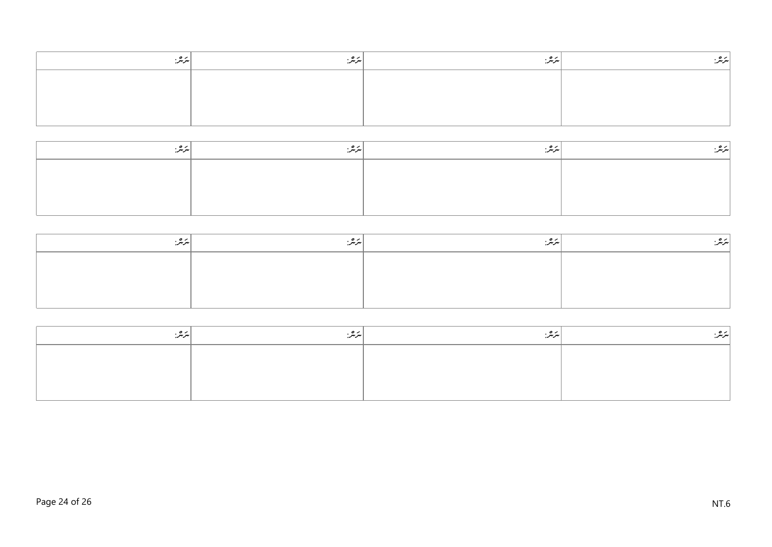| $\cdot$ | 。 | $\frac{\circ}{\cdot}$ | $\sim$<br>سرسر |
|---------|---|-----------------------|----------------|
|         |   |                       |                |
|         |   |                       |                |
|         |   |                       |                |

| يريثن | ' سرسر . |  |
|-------|----------|--|
|       |          |  |
|       |          |  |
|       |          |  |

| بر ه | . ه | $\sim$<br>سرسر |  |
|------|-----|----------------|--|
|      |     |                |  |
|      |     |                |  |
|      |     |                |  |

| 。<br>. س | ىرىىر |  |
|----------|-------|--|
|          |       |  |
|          |       |  |
|          |       |  |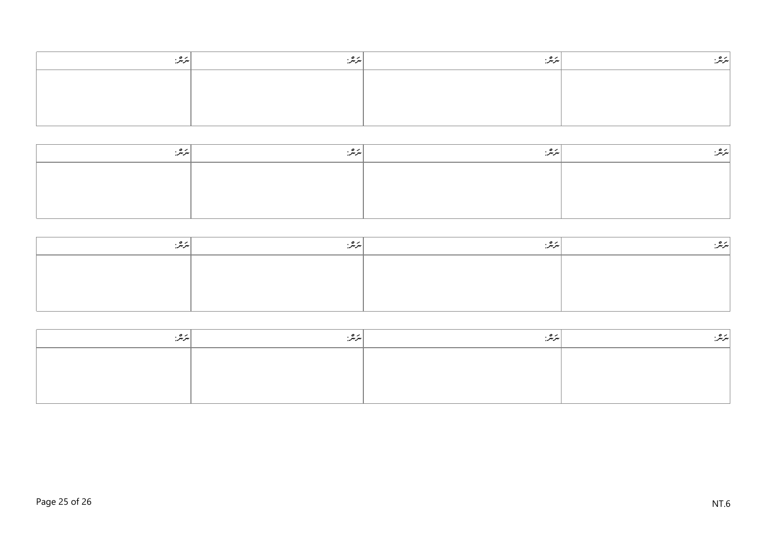| ير هو . | $\overline{\phantom{a}}$ | يرمر | اير هنه. |
|---------|--------------------------|------|----------|
|         |                          |      |          |
|         |                          |      |          |
|         |                          |      |          |

| ىر تىر: | $\circ$ $\sim$<br>" سرسر . | يترمير | o . |
|---------|----------------------------|--------|-----|
|         |                            |        |     |
|         |                            |        |     |
|         |                            |        |     |

| الترنثر: | ' مرتكز: | الترنثر: | .,<br>سرس. |
|----------|----------|----------|------------|
|          |          |          |            |
|          |          |          |            |
|          |          |          |            |

|  | . ه |
|--|-----|
|  |     |
|  |     |
|  |     |